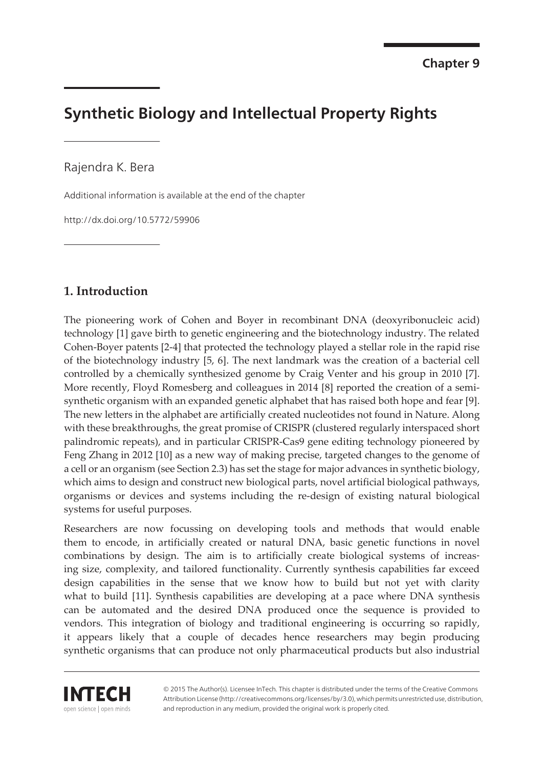# **Synthetic Biology and Intellectual Property Rights**

# Rajendra K. Bera

[Additional information is available at the end of the chapter](#page-31-0)

http://dx.doi.org/10.5772/59906

# **1. Introduction**

The pioneering work of Cohen and Boyer in recombinant DNA (deoxyribonucleic acid) technology [\[1\]](#page-32-0) gave birth to genetic engineering and the biotechnology industry. The related Cohen-Boyer patents [[2-4\]](#page-32-0) that protected the technology played a stellar role in the rapid rise of the biotechnology industry [\[5,](#page-32-0) [6\]](#page-32-0). The next landmark was the creation of a bacterial cell controlled by a chemically synthesized genome by Craig Venter and his group in 2010 [\[7\]](#page-32-0). More recently, Floyd Romesberg and colleagues in 2014 [[8](#page-32-0)] reported the creation of a semisynthetic organism with an expanded genetic alphabet that has raised both hope and fear [\[9\]](#page-32-0). The new letters in the alphabet are artificially created nucleotides not found in Nature. Along with these breakthroughs, the great promise of CRISPR (clustered regularly interspaced short palindromic repeats), and in particular CRISPR-Cas9 gene editing technology pioneered by Feng Zhang in 2012 [[10\]](#page-32-0) as a new way of making precise, targeted changes to the genome of a cell or an organism (see Section 2.3) has set the stage for major advances in synthetic biology, which aims to design and construct new biological parts, novel artificial biological pathways, organisms or devices and systems including the re-design of existing natural biological systems for useful purposes.

Researchers are now focussing on developing tools and methods that would enable them to encode, in artificially created or natural DNA, basic genetic functions in novel combinations by design. The aim is to artificially create biological systems of increas‐ ing size, complexity, and tailored functionality. Currently synthesis capabilities far exceed design capabilities in the sense that we know how to build but not yet with clarity what to build [\[11](#page-32-0)]. Synthesis capabilities are developing at a pace where DNA synthesis can be automated and the desired DNA produced once the sequence is provided to vendors. This integration of biology and traditional engineering is occurring so rapidly, it appears likely that a couple of decades hence researchers may begin producing synthetic organisms that can produce not only pharmaceutical products but also industrial

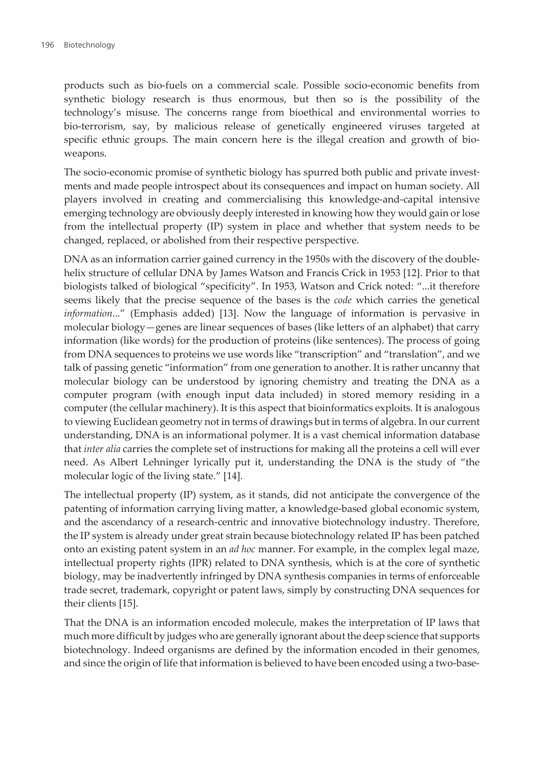products such as bio-fuels on a commercial scale. Possible socio-economic benefits from synthetic biology research is thus enormous, but then so is the possibility of the technology's misuse. The concerns range from bioethical and environmental worries to bio-terrorism, say, by malicious release of genetically engineered viruses targeted at specific ethnic groups. The main concern here is the illegal creation and growth of bioweapons.

The socio-economic promise of synthetic biology has spurred both public and private investments and made people introspect about its consequences and impact on human society. All players involved in creating and commercialising this knowledge-and-capital intensive emerging technology are obviously deeply interested in knowing how they would gain or lose from the intellectual property (IP) system in place and whether that system needs to be changed, replaced, or abolished from their respective perspective.

DNA as an information carrier gained currency in the 1950s with the discovery of the doublehelix structure of cellular DNA by James Watson and Francis Crick in 1953 [\[12](#page-32-0)]. Prior to that biologists talked of biological "specificity". In 1953, Watson and Crick noted: "...it therefore seems likely that the precise sequence of the bases is the *code* which carries the genetical *information*..." (Emphasis added) [[13\]](#page-33-0). Now the language of information is pervasive in molecular biology—genes are linear sequences of bases (like letters of an alphabet) that carry information (like words) for the production of proteins (like sentences). The process of going from DNA sequences to proteins we use words like "transcription" and "translation", and we talk of passing genetic "information" from one generation to another. It is rather uncanny that molecular biology can be understood by ignoring chemistry and treating the DNA as a computer program (with enough input data included) in stored memory residing in a computer (the cellular machinery). It is this aspect that bioinformatics exploits. It is analogous to viewing Euclidean geometry not in terms of drawings but in terms of algebra. In our current understanding, DNA is an informational polymer. It is a vast chemical information database that *inter alia* carries the complete set of instructions for making all the proteins a cell will ever need. As Albert Lehninger lyrically put it, understanding the DNA is the study of "the molecular logic of the living state." [\[14](#page-33-0)].

The intellectual property (IP) system, as it stands, did not anticipate the convergence of the patenting of information carrying living matter, a knowledge-based global economic system, and the ascendancy of a research-centric and innovative biotechnology industry. Therefore, the IP system is already under great strain because biotechnology related IP has been patched onto an existing patent system in an *ad hoc* manner. For example, in the complex legal maze, intellectual property rights (IPR) related to DNA synthesis, which is at the core of synthetic biology, may be inadvertently infringed by DNA synthesis companies in terms of enforceable trade secret, trademark, copyright or patent laws, simply by constructing DNA sequences for their clients [\[15](#page-33-0)].

That the DNA is an information encoded molecule, makes the interpretation of IP laws that much more difficult by judges who are generally ignorant about the deep science that supports biotechnology. Indeed organisms are defined by the information encoded in their genomes, and since the origin of life that information is believed to have been encoded using a two-base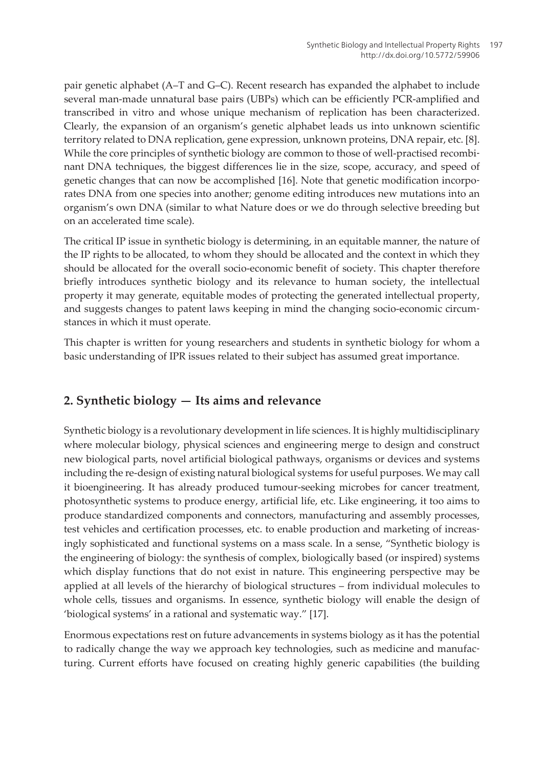pair genetic alphabet (A–T and G–C). Recent research has expanded the alphabet to include several man-made unnatural base pairs (UBPs) which can be efficiently PCR-amplified and transcribed in vitro and whose unique mechanism of replication has been characterized. Clearly, the expansion of an organism's genetic alphabet leads us into unknown scientific territory related to DNA replication, gene expression, unknown proteins, DNA repair, etc. [\[8\]](#page-32-0). While the core principles of synthetic biology are common to those of well-practised recombinant DNA techniques, the biggest differences lie in the size, scope, accuracy, and speed of genetic changes that can now be accomplished [[16\]](#page-33-0). Note that genetic modification incorporates DNA from one species into another; genome editing introduces new mutations into an organism's own DNA (similar to what Nature does or we do through selective breeding but on an accelerated time scale).

The critical IP issue in synthetic biology is determining, in an equitable manner, the nature of the IP rights to be allocated, to whom they should be allocated and the context in which they should be allocated for the overall socio-economic benefit of society. This chapter therefore briefly introduces synthetic biology and its relevance to human society, the intellectual property it may generate, equitable modes of protecting the generated intellectual property, and suggests changes to patent laws keeping in mind the changing socio-economic circumstances in which it must operate.

This chapter is written for young researchers and students in synthetic biology for whom a basic understanding of IPR issues related to their subject has assumed great importance.

# **2. Synthetic biology — Its aims and relevance**

Synthetic biology is a revolutionary development in life sciences. It is highly multidisciplinary where molecular biology, physical sciences and engineering merge to design and construct new biological parts, novel artificial biological pathways, organisms or devices and systems including the re-design of existing natural biological systems for useful purposes. We may call it bioengineering. It has already produced tumour-seeking microbes for cancer treatment, photosynthetic systems to produce energy, artificial life, etc. Like engineering, it too aims to produce standardized components and connectors, manufacturing and assembly processes, test vehicles and certification processes, etc. to enable production and marketing of increasingly sophisticated and functional systems on a mass scale. In a sense, "Synthetic biology is the engineering of biology: the synthesis of complex, biologically based (or inspired) systems which display functions that do not exist in nature. This engineering perspective may be applied at all levels of the hierarchy of biological structures – from individual molecules to whole cells, tissues and organisms. In essence, synthetic biology will enable the design of 'biological systems' in a rational and systematic way." [\[17](#page-33-0)].

Enormous expectations rest on future advancements in systems biology as it has the potential to radically change the way we approach key technologies, such as medicine and manufacturing. Current efforts have focused on creating highly generic capabilities (the building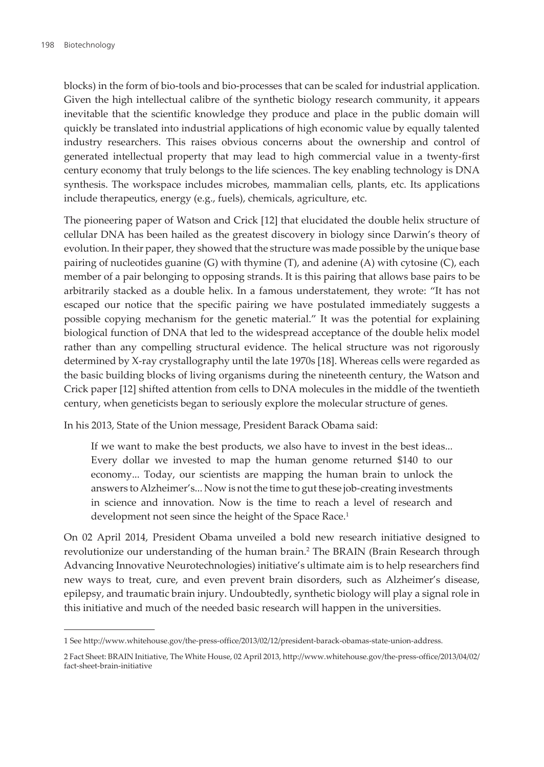blocks) in the form of bio-tools and bio-processes that can be scaled for industrial application. Given the high intellectual calibre of the synthetic biology research community, it appears inevitable that the scientific knowledge they produce and place in the public domain will quickly be translated into industrial applications of high economic value by equally talented industry researchers. This raises obvious concerns about the ownership and control of generated intellectual property that may lead to high commercial value in a twenty-first century economy that truly belongs to the life sciences. The key enabling technology is DNA synthesis. The workspace includes microbes, mammalian cells, plants, etc. Its applications include therapeutics, energy (e.g., fuels), chemicals, agriculture, etc.

The pioneering paper of Watson and Crick [\[12](#page-32-0)] that elucidated the double helix structure of cellular DNA has been hailed as the greatest discovery in biology since Darwin's theory of evolution. In their paper, they showed that the structure was made possible by the unique base pairing of nucleotides guanine (G) with thymine (T), and adenine (A) with cytosine (C), each member of a pair belonging to opposing strands. It is this pairing that allows base pairs to be arbitrarily stacked as a double helix. In a famous understatement, they wrote: "It has not escaped our notice that the specific pairing we have postulated immediately suggests a possible copying mechanism for the genetic material." It was the potential for explaining biological function of DNA that led to the widespread acceptance of the double helix model rather than any compelling structural evidence. The helical structure was not rigorously determined by X-ray crystallography until the late 1970s [\[18](#page-33-0)]. Whereas cells were regarded as the basic building blocks of living organisms during the nineteenth century, the Watson and Crick paper [[12\]](#page-32-0) shifted attention from cells to DNA molecules in the middle of the twentieth century, when geneticists began to seriously explore the molecular structure of genes.

In his 2013, State of the Union message, President Barack Obama said:

If we want to make the best products, we also have to invest in the best ideas... Every dollar we invested to map the human genome returned \$140 to our economy... Today, our scientists are mapping the human brain to unlock the answers to Alzheimer's... Now is not the time to gut these job-creating investments in science and innovation. Now is the time to reach a level of research and development not seen since the height of the Space Race.<sup>1</sup>

On 02 April 2014, President Obama unveiled a bold new research initiative designed to revolutionize our understanding of the human brain.<sup>2</sup> The BRAIN (Brain Research through Advancing Innovative Neurotechnologies) initiative's ultimate aim is to help researchers find new ways to treat, cure, and even prevent brain disorders, such as Alzheimer's disease, epilepsy, and traumatic brain injury. Undoubtedly, synthetic biology will play a signal role in this initiative and much of the needed basic research will happen in the universities.

<sup>1</sup> See http://www.whitehouse.gov/the-press-office/2013/02/12/president-barack-obamas-state-union-address.

<sup>2</sup> Fact Sheet: BRAIN Initiative, The White House, 02 April 2013, http://www.whitehouse.gov/the-press-office/2013/04/02/ fact-sheet-brain-initiative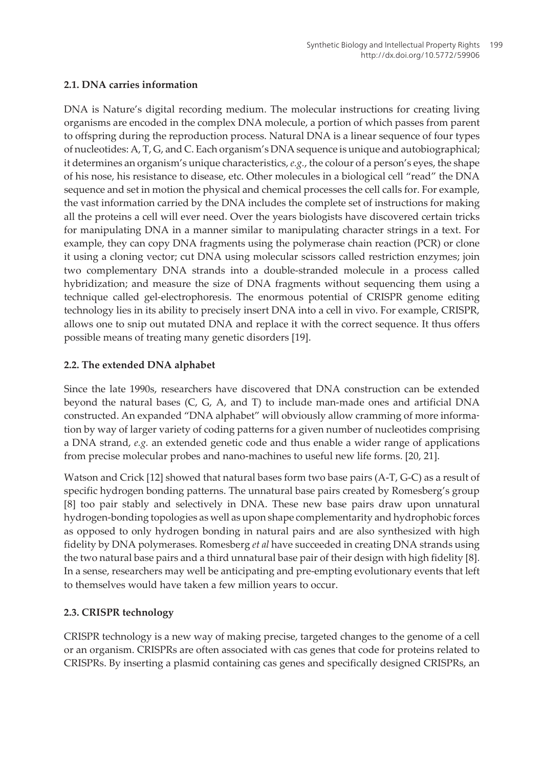### **2.1. DNA carries information**

DNA is Nature's digital recording medium. The molecular instructions for creating living organisms are encoded in the complex DNA molecule, a portion of which passes from parent to offspring during the reproduction process. Natural DNA is a linear sequence of four types of nucleotides: A, T, G, and C. Each organism's DNA sequence is unique and autobiographical; it determines an organism's unique characteristics, *e.g.*, the colour of a person's eyes, the shape of his nose, his resistance to disease, etc. Other molecules in a biological cell "read" the DNA sequence and set in motion the physical and chemical processes the cell calls for. For example, the vast information carried by the DNA includes the complete set of instructions for making all the proteins a cell will ever need. Over the years biologists have discovered certain tricks for manipulating DNA in a manner similar to manipulating character strings in a text. For example, they can copy DNA fragments using the polymerase chain reaction (PCR) or clone it using a cloning vector; cut DNA using molecular scissors called restriction enzymes; join two complementary DNA strands into a double-stranded molecule in a process called hybridization; and measure the size of DNA fragments without sequencing them using a technique called gel-electrophoresis. The enormous potential of CRISPR genome editing technology lies in its ability to precisely insert DNA into a cell in vivo. For example, CRISPR, allows one to snip out mutated DNA and replace it with the correct sequence. It thus offers possible means of treating many genetic disorders [\[19](#page-33-0)].

### **2.2. The extended DNA alphabet**

Since the late 1990s, researchers have discovered that DNA construction can be extended beyond the natural bases (C, G, A, and T) to include man-made ones and artificial DNA constructed. An expanded "DNA alphabet" will obviously allow cramming of more information by way of larger variety of coding patterns for a given number of nucleotides comprising a DNA strand, *e.g.* an extended genetic code and thus enable a wider range of applications from precise molecular probes and nano-machines to useful new life forms. [\[20](#page-33-0), [21\]](#page-33-0).

Watson and Crick [[12\]](#page-32-0) showed that natural bases form two base pairs (A-T, G-C) as a result of specific hydrogen bonding patterns. The unnatural base pairs created by Romesberg's group [[8](#page-32-0)] too pair stably and selectively in DNA. These new base pairs draw upon unnatural hydrogen-bonding topologies as well as upon shape complementarity and hydrophobic forces as opposed to only hydrogen bonding in natural pairs and are also synthesized with high fidelity by DNA polymerases. Romesberg *et al* have succeeded in creating DNA strands using the two natural base pairs and a third unnatural base pair of their design with high fidelity [\[8\]](#page-32-0). In a sense, researchers may well be anticipating and pre-empting evolutionary events that left to themselves would have taken a few million years to occur.

### **2.3. CRISPR technology**

CRISPR technology is a new way of making precise, targeted changes to the genome of a cell or an organism. CRISPRs are often associated with cas genes that code for proteins related to CRISPRs. By inserting a plasmid containing cas genes and specifically designed CRISPRs, an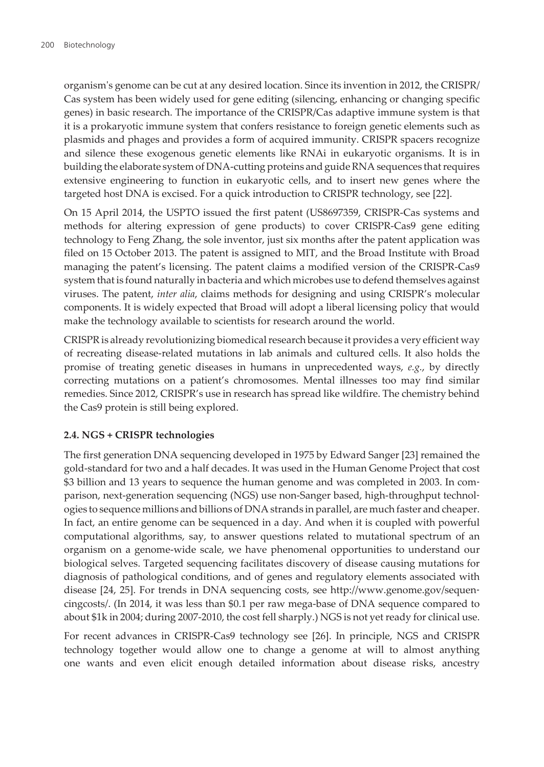organism's genome can be cut at any desired location. Since its invention in 2012, the CRISPR/ Cas system has been widely used for gene editing (silencing, enhancing or changing specific genes) in basic research. The importance of the CRISPR/Cas adaptive immune system is that it is a prokaryotic immune system that confers resistance to foreign genetic elements such as plasmids and phages and provides a form of acquired immunity. CRISPR spacers recognize and silence these exogenous genetic elements like RNAi in eukaryotic organisms. It is in building the elaborate system of DNA-cutting proteins and guide RNA sequences that requires extensive engineering to function in eukaryotic cells, and to insert new genes where the targeted host DNA is excised. For a quick introduction to CRISPR technology, see [\[22](#page-33-0)].

On 15 April 2014, the USPTO issued the first patent (US8697359, CRISPR-Cas systems and methods for altering expression of gene products) to cover CRISPR-Cas9 gene editing technology to Feng Zhang, the sole inventor, just six months after the patent application was filed on 15 October 2013. The patent is assigned to MIT, and the Broad Institute with Broad managing the patent's licensing. The patent claims a modified version of the CRISPR-Cas9 system that is found naturally in bacteria and which microbes use to defend themselves against viruses. The patent, *inter alia*, claims methods for designing and using CRISPR's molecular components. It is widely expected that Broad will adopt a liberal licensing policy that would make the technology available to scientists for research around the world.

CRISPR is already revolutionizing biomedical research because it provides a very efficient way of recreating disease-related mutations in lab animals and cultured cells. It also holds the promise of treating genetic diseases in humans in unprecedented ways, *e.g.*, by directly correcting mutations on a patient's chromosomes. Mental illnesses too may find similar remedies. Since 2012, CRISPR's use in research has spread like wildfire. The chemistry behind the Cas9 protein is still being explored.

### **2.4. NGS + CRISPR technologies**

The first generation DNA sequencing developed in 1975 by Edward Sanger [[23\]](#page-33-0) remained the gold-standard for two and a half decades. It was used in the Human Genome Project that cost \$3 billion and 13 years to sequence the human genome and was completed in 2003. In comparison, next-generation sequencing (NGS) use non-Sanger based, high-throughput technol‐ ogies to sequence millions and billions of DNA strands in parallel, are much faster and cheaper. In fact, an entire genome can be sequenced in a day. And when it is coupled with powerful computational algorithms, say, to answer questions related to mutational spectrum of an organism on a genome-wide scale, we have phenomenal opportunities to understand our biological selves. Targeted sequencing facilitates discovery of disease causing mutations for diagnosis of pathological conditions, and of genes and regulatory elements associated with disease [[24,](#page-33-0) [25](#page-34-0)]. For trends in DNA sequencing costs, see http://www.genome.gov/sequen‐ cingcosts/. (In 2014, it was less than \$0.1 per raw mega-base of DNA sequence compared to about \$1k in 2004; during 2007-2010, the cost fell sharply.) NGS is not yet ready for clinical use.

For recent advances in CRISPR-Cas9 technology see [[26\]](#page-34-0). In principle, NGS and CRISPR technology together would allow one to change a genome at will to almost anything one wants and even elicit enough detailed information about disease risks, ancestry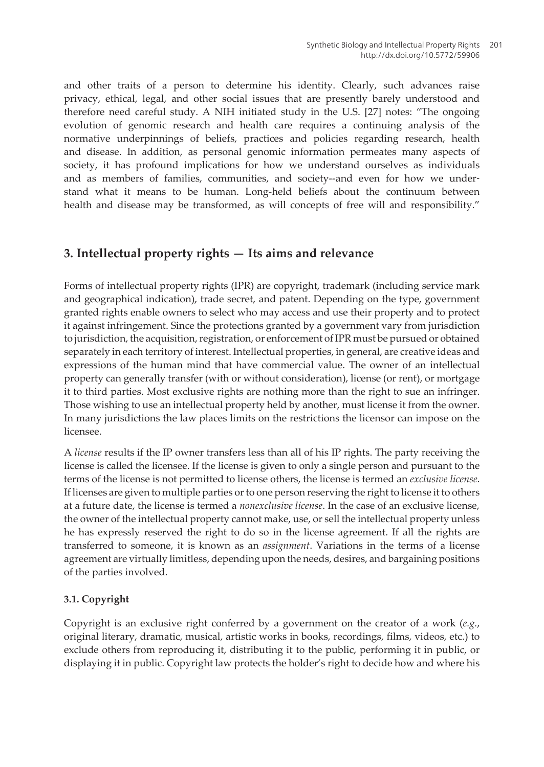and other traits of a person to determine his identity. Clearly, such advances raise privacy, ethical, legal, and other social issues that are presently barely understood and therefore need careful study. A NIH initiated study in the U.S. [\[27](#page-34-0)] notes: "The ongoing evolution of genomic research and health care requires a continuing analysis of the normative underpinnings of beliefs, practices and policies regarding research, health and disease. In addition, as personal genomic information permeates many aspects of society, it has profound implications for how we understand ourselves as individuals and as members of families, communities, and society--and even for how we under‐ stand what it means to be human. Long-held beliefs about the continuum between health and disease may be transformed, as will concepts of free will and responsibility."

# **3. Intellectual property rights — Its aims and relevance**

Forms of intellectual property rights (IPR) are copyright, trademark (including service mark and geographical indication), trade secret, and patent. Depending on the type, government granted rights enable owners to select who may access and use their property and to protect it against infringement. Since the protections granted by a government vary from jurisdiction to jurisdiction, the acquisition, registration, or enforcement of IPR must be pursued or obtained separately in each territory of interest. Intellectual properties, in general, are creative ideas and expressions of the human mind that have commercial value. The owner of an intellectual property can generally transfer (with or without consideration), license (or rent), or mortgage it to third parties. Most exclusive rights are nothing more than the right to sue an infringer. Those wishing to use an intellectual property held by another, must license it from the owner. In many jurisdictions the law places limits on the restrictions the licensor can impose on the licensee.

A *license* results if the IP owner transfers less than all of his IP rights. The party receiving the license is called the licensee. If the license is given to only a single person and pursuant to the terms of the license is not permitted to license others, the license is termed an *exclusive license*. If licenses are given to multiple parties or to one person reserving the right to license it to others at a future date, the license is termed a *nonexclusive license*. In the case of an exclusive license, the owner of the intellectual property cannot make, use, or sell the intellectual property unless he has expressly reserved the right to do so in the license agreement. If all the rights are transferred to someone, it is known as an *assignment*. Variations in the terms of a license agreement are virtually limitless, depending upon the needs, desires, and bargaining positions of the parties involved.

### **3.1. Copyright**

Copyright is an exclusive right conferred by a government on the creator of a work (*e.g.*, original literary, dramatic, musical, artistic works in books, recordings, films, videos, etc.) to exclude others from reproducing it, distributing it to the public, performing it in public, or displaying it in public. Copyright law protects the holder's right to decide how and where his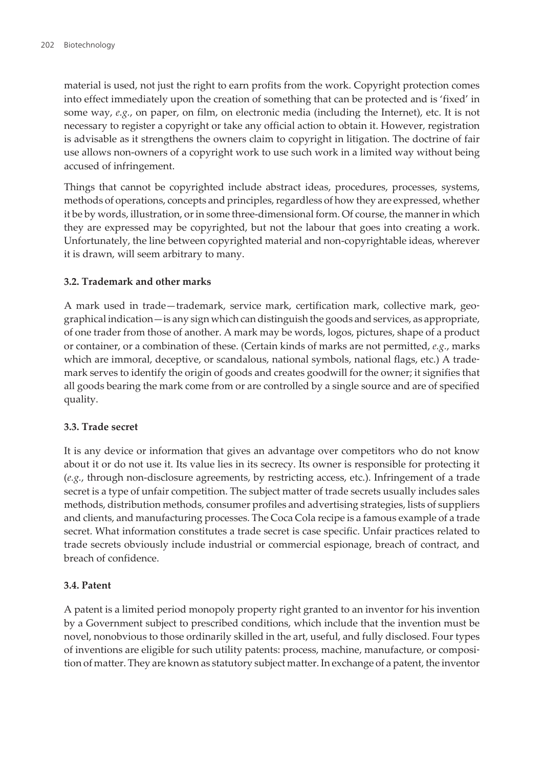material is used, not just the right to earn profits from the work. Copyright protection comes into effect immediately upon the creation of something that can be protected and is 'fixed' in some way, *e.g.*, on paper, on film, on electronic media (including the Internet), etc. It is not necessary to register a copyright or take any official action to obtain it. However, registration is advisable as it strengthens the owners claim to copyright in litigation. The doctrine of fair use allows non-owners of a copyright work to use such work in a limited way without being accused of infringement.

Things that cannot be copyrighted include abstract ideas, procedures, processes, systems, methods of operations, concepts and principles, regardless of how they are expressed, whether it be by words, illustration, or in some three-dimensional form. Of course, the manner in which they are expressed may be copyrighted, but not the labour that goes into creating a work. Unfortunately, the line between copyrighted material and non-copyrightable ideas, wherever it is drawn, will seem arbitrary to many.

### **3.2. Trademark and other marks**

A mark used in trade—trademark, service mark, certification mark, collective mark, geo‐ graphical indication—is any sign which can distinguish the goods and services, as appropriate, of one trader from those of another. A mark may be words, logos, pictures, shape of a product or container, or a combination of these. (Certain kinds of marks are not permitted, *e.g.*, marks which are immoral, deceptive, or scandalous, national symbols, national flags, etc.) A trademark serves to identify the origin of goods and creates goodwill for the owner; it signifies that all goods bearing the mark come from or are controlled by a single source and are of specified quality.

### **3.3. Trade secret**

It is any device or information that gives an advantage over competitors who do not know about it or do not use it. Its value lies in its secrecy. Its owner is responsible for protecting it (*e.g.*, through non-disclosure agreements, by restricting access, etc.). Infringement of a trade secret is a type of unfair competition. The subject matter of trade secrets usually includes sales methods, distribution methods, consumer profiles and advertising strategies, lists of suppliers and clients, and manufacturing processes. The Coca Cola recipe is a famous example of a trade secret. What information constitutes a trade secret is case specific. Unfair practices related to trade secrets obviously include industrial or commercial espionage, breach of contract, and breach of confidence.

### **3.4. Patent**

A patent is a limited period monopoly property right granted to an inventor for his invention by a Government subject to prescribed conditions, which include that the invention must be novel, nonobvious to those ordinarily skilled in the art, useful, and fully disclosed. Four types of inventions are eligible for such utility patents: process, machine, manufacture, or composi‐ tion of matter. They are known as statutory subject matter. In exchange of a patent, the inventor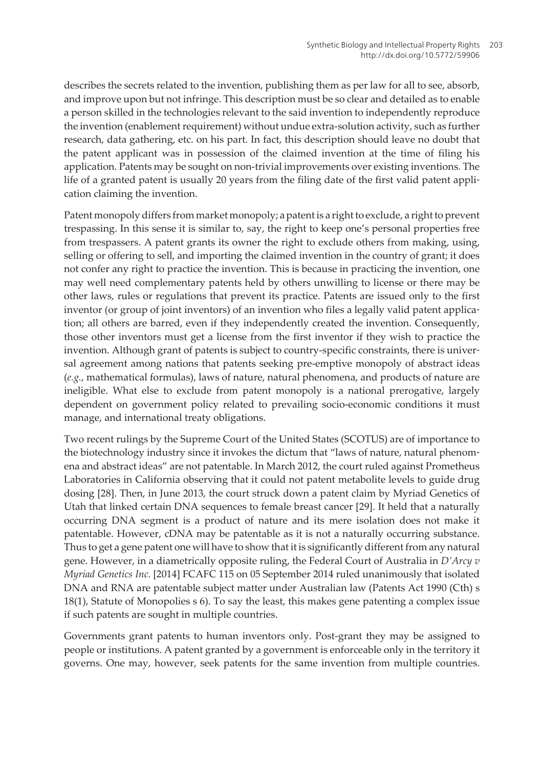describes the secrets related to the invention, publishing them as per law for all to see, absorb, and improve upon but not infringe. This description must be so clear and detailed as to enable a person skilled in the technologies relevant to the said invention to independently reproduce the invention (enablement requirement) without undue extra-solution activity, such as further research, data gathering, etc. on his part. In fact, this description should leave no doubt that the patent applicant was in possession of the claimed invention at the time of filing his application. Patents may be sought on non-trivial improvements over existing inventions. The life of a granted patent is usually 20 years from the filing date of the first valid patent appli‐ cation claiming the invention.

Patent monopoly differs from market monopoly; a patent is a right to exclude, a right to prevent trespassing. In this sense it is similar to, say, the right to keep one's personal properties free from trespassers. A patent grants its owner the right to exclude others from making, using, selling or offering to sell, and importing the claimed invention in the country of grant; it does not confer any right to practice the invention. This is because in practicing the invention, one may well need complementary patents held by others unwilling to license or there may be other laws, rules or regulations that prevent its practice. Patents are issued only to the first inventor (or group of joint inventors) of an invention who files a legally valid patent application; all others are barred, even if they independently created the invention. Consequently, those other inventors must get a license from the first inventor if they wish to practice the invention. Although grant of patents is subject to country-specific constraints, there is universal agreement among nations that patents seeking pre-emptive monopoly of abstract ideas (*e.g.*, mathematical formulas), laws of nature, natural phenomena, and products of nature are ineligible. What else to exclude from patent monopoly is a national prerogative, largely dependent on government policy related to prevailing socio-economic conditions it must manage, and international treaty obligations.

Two recent rulings by the Supreme Court of the United States (SCOTUS) are of importance to the biotechnology industry since it invokes the dictum that "laws of nature, natural phenomena and abstract ideas" are not patentable. In March 2012, the court ruled against Prometheus Laboratories in California observing that it could not patent metabolite levels to guide drug dosing [\[28](#page-34-0)]. Then, in June 2013, the court struck down a patent claim by Myriad Genetics of Utah that linked certain DNA sequences to female breast cancer [\[29](#page-34-0)]. It held that a naturally occurring DNA segment is a product of nature and its mere isolation does not make it patentable. However, cDNA may be patentable as it is not a naturally occurring substance. Thus to get a gene patent one will have to show that it is significantly different from any natural gene. However, in a diametrically opposite ruling, the Federal Court of Australia in *D'Arcy v Myriad Genetics Inc.* [2014] FCAFC 115 on 05 September 2014 ruled unanimously that isolated DNA and RNA are patentable subject matter under Australian law (Patents Act 1990 (Cth) s 18(1), Statute of Monopolies s 6). To say the least, this makes gene patenting a complex issue if such patents are sought in multiple countries.

Governments grant patents to human inventors only. Post-grant they may be assigned to people or institutions. A patent granted by a government is enforceable only in the territory it governs. One may, however, seek patents for the same invention from multiple countries.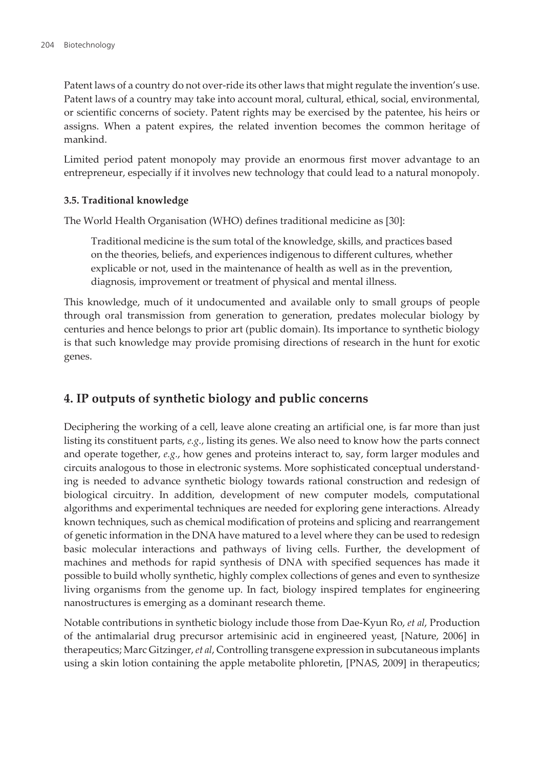Patent laws of a country do not over-ride its other laws that might regulate the invention's use. Patent laws of a country may take into account moral, cultural, ethical, social, environmental, or scientific concerns of society. Patent rights may be exercised by the patentee, his heirs or assigns. When a patent expires, the related invention becomes the common heritage of mankind.

Limited period patent monopoly may provide an enormous first mover advantage to an entrepreneur, especially if it involves new technology that could lead to a natural monopoly.

### **3.5. Traditional knowledge**

The World Health Organisation (WHO) defines traditional medicine as [[30\]](#page-34-0):

Traditional medicine is the sum total of the knowledge, skills, and practices based on the theories, beliefs, and experiences indigenous to different cultures, whether explicable or not, used in the maintenance of health as well as in the prevention, diagnosis, improvement or treatment of physical and mental illness.

This knowledge, much of it undocumented and available only to small groups of people through oral transmission from generation to generation, predates molecular biology by centuries and hence belongs to prior art (public domain). Its importance to synthetic biology is that such knowledge may provide promising directions of research in the hunt for exotic genes.

# **4. IP outputs of synthetic biology and public concerns**

Deciphering the working of a cell, leave alone creating an artificial one, is far more than just listing its constituent parts, *e.g.*, listing its genes. We also need to know how the parts connect and operate together, *e.g.*, how genes and proteins interact to, say, form larger modules and circuits analogous to those in electronic systems. More sophisticated conceptual understand‐ ing is needed to advance synthetic biology towards rational construction and redesign of biological circuitry. In addition, development of new computer models, computational algorithms and experimental techniques are needed for exploring gene interactions. Already known techniques, such as chemical modification of proteins and splicing and rearrangement of genetic information in the DNA have matured to a level where they can be used to redesign basic molecular interactions and pathways of living cells. Further, the development of machines and methods for rapid synthesis of DNA with specified sequences has made it possible to build wholly synthetic, highly complex collections of genes and even to synthesize living organisms from the genome up. In fact, biology inspired templates for engineering nanostructures is emerging as a dominant research theme.

Notable contributions in synthetic biology include those from Dae-Kyun Ro, *et al*, Production of the antimalarial drug precursor artemisinic acid in engineered yeast, [Nature, 2006] in therapeutics; Marc Gitzinger, *et al*, Controlling transgene expression in subcutaneous implants using a skin lotion containing the apple metabolite phloretin, [PNAS, 2009] in therapeutics;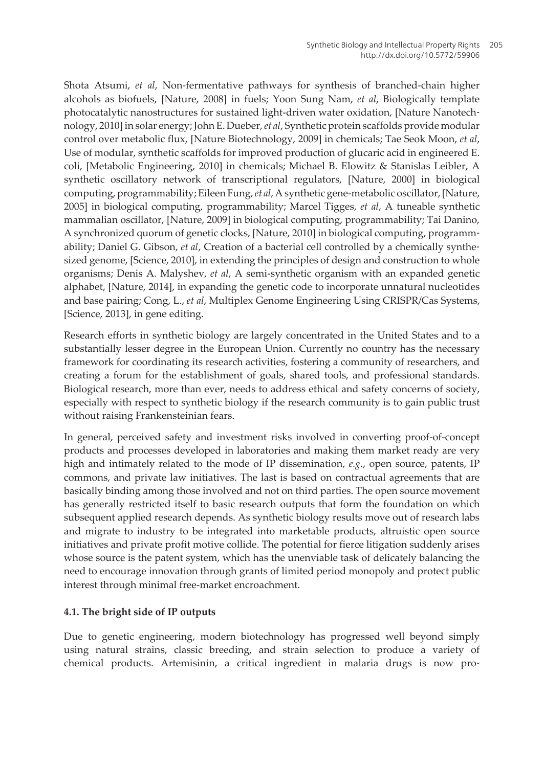Shota Atsumi, *et al*, Non-fermentative pathways for synthesis of branched-chain higher alcohols as biofuels, [Nature, 2008] in fuels; Yoon Sung Nam, *et al*, Biologically template photocatalytic nanostructures for sustained light-driven water oxidation, [Nature Nanotech‐ nology, 2010] in solar energy; John E. Dueber, *et al*, Synthetic protein scaffolds provide modular control over metabolic flux, [Nature Biotechnology, 2009] in chemicals; Tae Seok Moon, *et al*, Use of modular, synthetic scaffolds for improved production of glucaric acid in engineered E. coli, [Metabolic Engineering, 2010] in chemicals; Michael B. Elowitz & Stanislas Leibler, A synthetic oscillatory network of transcriptional regulators, [Nature, 2000] in biological computing, programmability; Eileen Fung, *et al*, A synthetic gene-metabolic oscillator, [Nature, 2005] in biological computing, programmability; Marcel Tigges, *et al*, A tuneable synthetic mammalian oscillator, [Nature, 2009] in biological computing, programmability; Tai Danino, A synchronized quorum of genetic clocks, [Nature, 2010] in biological computing, programm‐ ability; Daniel G. Gibson, *et al*, Creation of a bacterial cell controlled by a chemically synthe‐ sized genome, [Science, 2010], in extending the principles of design and construction to whole organisms; Denis A. Malyshev, *et al*, A semi-synthetic organism with an expanded genetic alphabet, [Nature, 2014], in expanding the genetic code to incorporate unnatural nucleotides and base pairing; Cong, L., *et al*, Multiplex Genome Engineering Using CRISPR/Cas Systems, [Science, 2013], in gene editing.

Research efforts in synthetic biology are largely concentrated in the United States and to a substantially lesser degree in the European Union. Currently no country has the necessary framework for coordinating its research activities, fostering a community of researchers, and creating a forum for the establishment of goals, shared tools, and professional standards. Biological research, more than ever, needs to address ethical and safety concerns of society, especially with respect to synthetic biology if the research community is to gain public trust without raising Frankensteinian fears.

In general, perceived safety and investment risks involved in converting proof-of-concept products and processes developed in laboratories and making them market ready are very high and intimately related to the mode of IP dissemination, *e.g.*, open source, patents, IP commons, and private law initiatives. The last is based on contractual agreements that are basically binding among those involved and not on third parties. The open source movement has generally restricted itself to basic research outputs that form the foundation on which subsequent applied research depends. As synthetic biology results move out of research labs and migrate to industry to be integrated into marketable products, altruistic open source initiatives and private profit motive collide. The potential for fierce litigation suddenly arises whose source is the patent system, which has the unenviable task of delicately balancing the need to encourage innovation through grants of limited period monopoly and protect public interest through minimal free-market encroachment.

### **4.1. The bright side of IP outputs**

Due to genetic engineering, modern biotechnology has progressed well beyond simply using natural strains, classic breeding, and strain selection to produce a variety of chemical products. Artemisinin, a critical ingredient in malaria drugs is now pro‐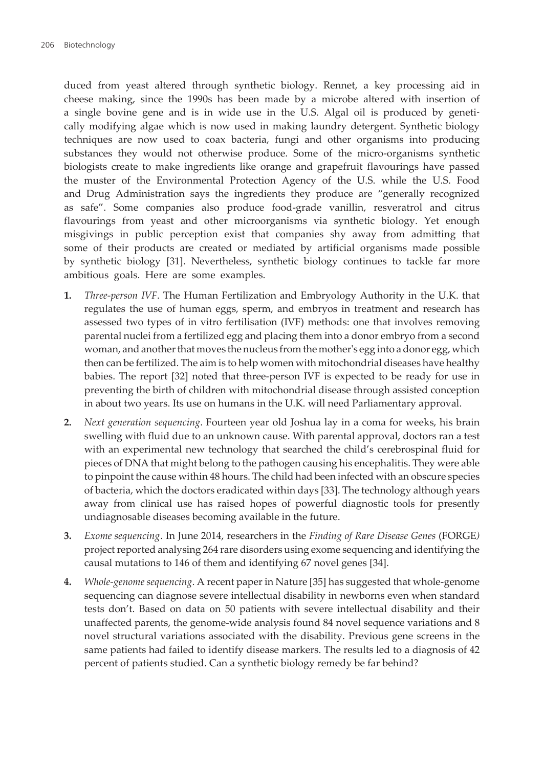duced from yeast altered through synthetic biology. Rennet, a key processing aid in cheese making, since the 1990s has been made by a microbe altered with insertion of a single bovine gene and is in wide use in the U.S. Algal oil is produced by genetically modifying algae which is now used in making laundry detergent. Synthetic biology techniques are now used to coax bacteria, fungi and other organisms into producing substances they would not otherwise produce. Some of the micro-organisms synthetic biologists create to make ingredients like orange and grapefruit flavourings have passed the muster of the Environmental Protection Agency of the U.S. while the U.S. Food and Drug Administration says the ingredients they produce are "generally recognized as safe". Some companies also produce food-grade vanillin, resveratrol and citrus flavourings from yeast and other microorganisms via synthetic biology. Yet enough misgivings in public perception exist that companies shy away from admitting that some of their products are created or mediated by artificial organisms made possible by synthetic biology [\[31](#page-34-0)]. Nevertheless, synthetic biology continues to tackle far more ambitious goals. Here are some examples.

- **1.** *Three-person IVF*. The Human Fertilization and Embryology Authority in the U.K. that regulates the use of human eggs, sperm, and embryos in treatment and research has assessed two types of in vitro fertilisation (IVF) methods: one that involves removing parental nuclei from a fertilized egg and placing them into a donor embryo from a second woman, and another that moves the nucleus from the mother's egg into a donor egg, which then can be fertilized. The aim is to help women with mitochondrial diseases have healthy babies. The report [[32\]](#page-34-0) noted that three-person IVF is expected to be ready for use in preventing the birth of children with mitochondrial disease through assisted conception in about two years. Its use on humans in the U.K. will need Parliamentary approval.
- **2.** *Next generation sequencing*. Fourteen year old Joshua lay in a coma for weeks, his brain swelling with fluid due to an unknown cause. With parental approval, doctors ran a test with an experimental new technology that searched the child's cerebrospinal fluid for pieces of DNA that might belong to the pathogen causing his encephalitis. They were able to pinpoint the cause within 48 hours. The child had been infected with an obscure species of bacteria, which the doctors eradicated within days [\[33](#page-34-0)]. The technology although years away from clinical use has raised hopes of powerful diagnostic tools for presently undiagnosable diseases becoming available in the future.
- **3.** *Exome sequencing*. In June 2014, researchers in the *Finding of Rare Disease Genes* (FORGE*)* project reported analysing 264 rare disorders using exome sequencing and identifying the causal mutations to 146 of them and identifying 67 novel genes [\[34](#page-34-0)].
- **4.** *Whole-genome sequencing*. A recent paper in Nature [\[35](#page-34-0)] has suggested that whole-genome sequencing can diagnose severe intellectual disability in newborns even when standard tests don't. Based on data on 50 patients with severe intellectual disability and their unaffected parents, the genome-wide analysis found 84 novel sequence variations and 8 novel structural variations associated with the disability. Previous gene screens in the same patients had failed to identify disease markers. The results led to a diagnosis of 42 percent of patients studied. Can a synthetic biology remedy be far behind?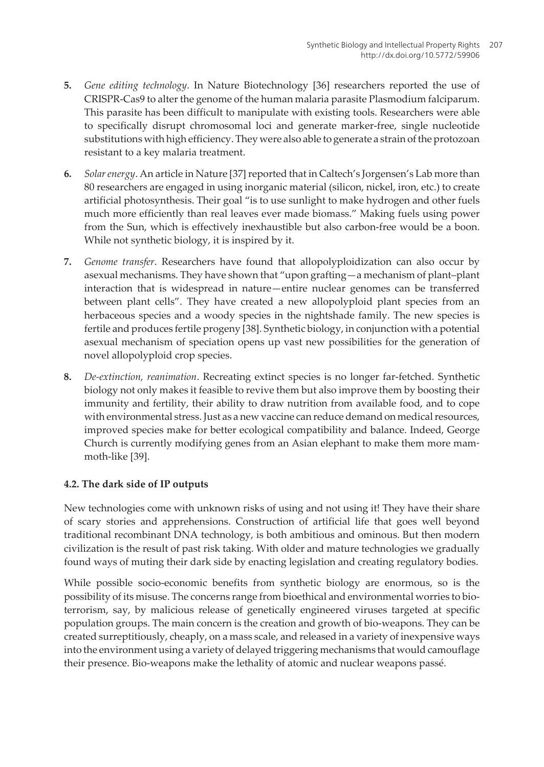- **5.** *Gene editing technology*. In Nature Biotechnology [\[36](#page-34-0)] researchers reported the use of CRISPR-Cas9 to alter the genome of the human malaria parasite Plasmodium falciparum. This parasite has been difficult to manipulate with existing tools. Researchers were able to specifically disrupt chromosomal loci and generate marker-free, single nucleotide substitutions with high efficiency. They were also able to generate a strain of the protozoan resistant to a key malaria treatment.
- **6.** *Solar energy*. An article in Nature [\[37](#page-35-0)] reported that in Caltech's Jorgensen's Lab more than 80 researchers are engaged in using inorganic material (silicon, nickel, iron, etc.) to create artificial photosynthesis. Their goal "is to use sunlight to make hydrogen and other fuels much more efficiently than real leaves ever made biomass." Making fuels using power from the Sun, which is effectively inexhaustible but also carbon-free would be a boon. While not synthetic biology, it is inspired by it.
- **7.** *Genome transfer*. Researchers have found that allopolyploidization can also occur by asexual mechanisms. They have shown that "upon grafting—a mechanism of plant–plant interaction that is widespread in nature—entire nuclear genomes can be transferred between plant cells". They have created a new allopolyploid plant species from an herbaceous species and a woody species in the nightshade family. The new species is fertile and produces fertile progeny [[38\]](#page-35-0). Synthetic biology, in conjunction with a potential asexual mechanism of speciation opens up vast new possibilities for the generation of novel allopolyploid crop species.
- **8.** *De-extinction, reanimation*. Recreating extinct species is no longer far-fetched. Synthetic biology not only makes it feasible to revive them but also improve them by boosting their immunity and fertility, their ability to draw nutrition from available food, and to cope with environmental stress. Just as a new vaccine can reduce demand on medical resources, improved species make for better ecological compatibility and balance. Indeed, George Church is currently modifying genes from an Asian elephant to make them more mammoth-like [[39\]](#page-35-0).

### **4.2. The dark side of IP outputs**

New technologies come with unknown risks of using and not using it! They have their share of scary stories and apprehensions. Construction of artificial life that goes well beyond traditional recombinant DNA technology, is both ambitious and ominous. But then modern civilization is the result of past risk taking. With older and mature technologies we gradually found ways of muting their dark side by enacting legislation and creating regulatory bodies.

While possible socio-economic benefits from synthetic biology are enormous, so is the possibility of its misuse. The concerns range from bioethical and environmental worries to bioterrorism, say, by malicious release of genetically engineered viruses targeted at specific population groups. The main concern is the creation and growth of bio-weapons. They can be created surreptitiously, cheaply, on a mass scale, and released in a variety of inexpensive ways into the environment using a variety of delayed triggering mechanisms that would camouflage their presence. Bio-weapons make the lethality of atomic and nuclear weapons passé.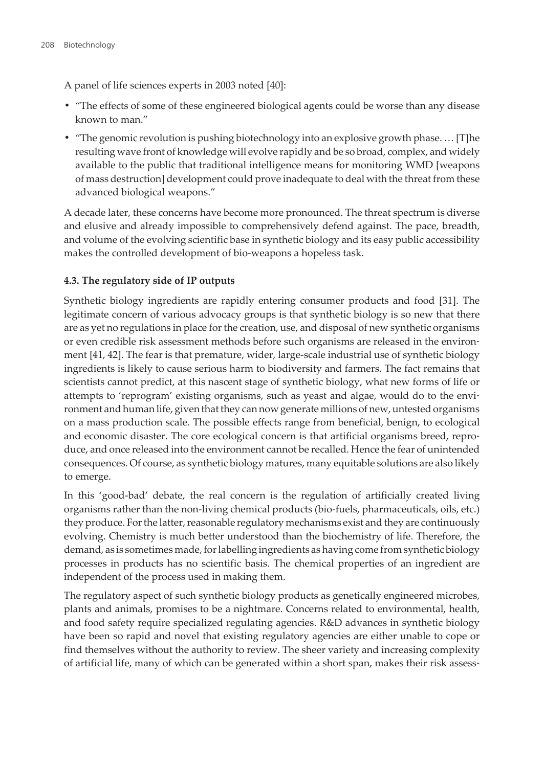A panel of life sciences experts in 2003 noted [\[40](#page-35-0)]:

- **•** "The effects of some of these engineered biological agents could be worse than any disease known to man."
- **•** "The genomic revolution is pushing biotechnology into an explosive growth phase. … [T]he resulting wave front of knowledge will evolve rapidly and be so broad, complex, and widely available to the public that traditional intelligence means for monitoring WMD [weapons of mass destruction] development could prove inadequate to deal with the threat from these advanced biological weapons."

A decade later, these concerns have become more pronounced. The threat spectrum is diverse and elusive and already impossible to comprehensively defend against. The pace, breadth, and volume of the evolving scientific base in synthetic biology and its easy public accessibility makes the controlled development of bio-weapons a hopeless task.

### **4.3. The regulatory side of IP outputs**

Synthetic biology ingredients are rapidly entering consumer products and food [\[31](#page-34-0)]. The legitimate concern of various advocacy groups is that synthetic biology is so new that there are as yet no regulations in place for the creation, use, and disposal of new synthetic organisms or even credible risk assessment methods before such organisms are released in the environ‐ ment [\[41](#page-35-0), [42](#page-35-0)]. The fear is that premature, wider, large-scale industrial use of synthetic biology ingredients is likely to cause serious harm to biodiversity and farmers. The fact remains that scientists cannot predict, at this nascent stage of synthetic biology, what new forms of life or attempts to 'reprogram' existing organisms, such as yeast and algae, would do to the envi‐ ronment and human life, given that they can now generate millions of new, untested organisms on a mass production scale. The possible effects range from beneficial, benign, to ecological and economic disaster. The core ecological concern is that artificial organisms breed, reproduce, and once released into the environment cannot be recalled. Hence the fear of unintended consequences. Of course, as synthetic biology matures, many equitable solutions are also likely to emerge.

In this 'good-bad' debate, the real concern is the regulation of artificially created living organisms rather than the non-living chemical products (bio-fuels, pharmaceuticals, oils, etc.) they produce. For the latter, reasonable regulatory mechanisms exist and they are continuously evolving. Chemistry is much better understood than the biochemistry of life. Therefore, the demand, as is sometimes made, for labelling ingredients as having come from synthetic biology processes in products has no scientific basis. The chemical properties of an ingredient are independent of the process used in making them.

The regulatory aspect of such synthetic biology products as genetically engineered microbes, plants and animals, promises to be a nightmare. Concerns related to environmental, health, and food safety require specialized regulating agencies. R&D advances in synthetic biology have been so rapid and novel that existing regulatory agencies are either unable to cope or find themselves without the authority to review. The sheer variety and increasing complexity of artificial life, many of which can be generated within a short span, makes their risk assess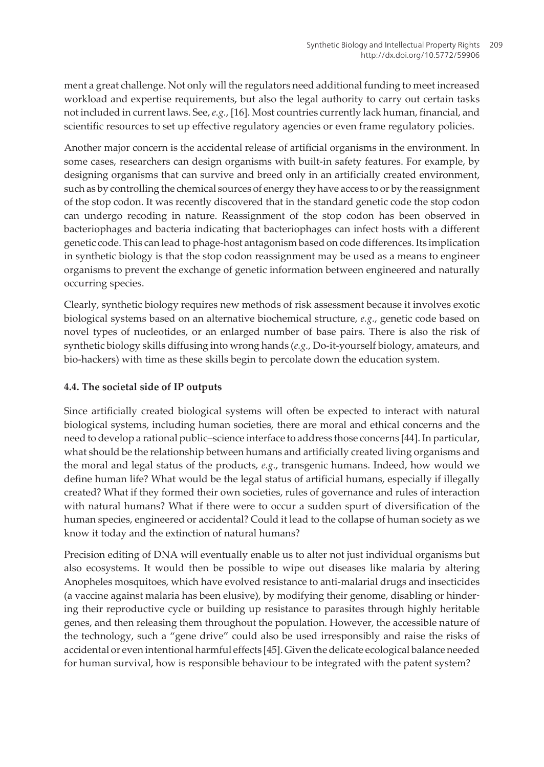ment a great challenge. Not only will the regulators need additional funding to meet increased workload and expertise requirements, but also the legal authority to carry out certain tasks not included in current laws. See, *e.g.*, [\[16](#page-33-0)]. Most countries currently lack human, financial, and scientific resources to set up effective regulatory agencies or even frame regulatory policies.

Another major concern is the accidental release of artificial organisms in the environment. In some cases, researchers can design organisms with built-in safety features. For example, by designing organisms that can survive and breed only in an artificially created environment, such as by controlling the chemical sources of energy they have access to or by the reassignment of the stop codon. It was recently discovered that in the standard genetic code the stop codon can undergo recoding in nature. Reassignment of the stop codon has been observed in bacteriophages and bacteria indicating that bacteriophages can infect hosts with a different genetic code. This can lead to phage-host antagonism based on code differences. Its implication in synthetic biology is that the stop codon reassignment may be used as a means to engineer organisms to prevent the exchange of genetic information between engineered and naturally occurring species.

Clearly, synthetic biology requires new methods of risk assessment because it involves exotic biological systems based on an alternative biochemical structure, *e.g.*, genetic code based on novel types of nucleotides, or an enlarged number of base pairs. There is also the risk of synthetic biology skills diffusing into wrong hands (*e.g.*, Do-it-yourself biology, amateurs, and bio-hackers) with time as these skills begin to percolate down the education system.

### **4.4. The societal side of IP outputs**

Since artificially created biological systems will often be expected to interact with natural biological systems, including human societies, there are moral and ethical concerns and the need to develop a rational public–science interface to address those concerns [\[44](#page-35-0)]. In particular, what should be the relationship between humans and artificially created living organisms and the moral and legal status of the products, *e.g.*, transgenic humans. Indeed, how would we define human life? What would be the legal status of artificial humans, especially if illegally created? What if they formed their own societies, rules of governance and rules of interaction with natural humans? What if there were to occur a sudden spurt of diversification of the human species, engineered or accidental? Could it lead to the collapse of human society as we know it today and the extinction of natural humans?

Precision editing of DNA will eventually enable us to alter not just individual organisms but also ecosystems. It would then be possible to wipe out diseases like malaria by altering Anopheles mosquitoes, which have evolved resistance to anti-malarial drugs and insecticides (a vaccine against malaria has been elusive), by modifying their genome, disabling or hinder‐ ing their reproductive cycle or building up resistance to parasites through highly heritable genes, and then releasing them throughout the population. However, the accessible nature of the technology, such a "gene drive" could also be used irresponsibly and raise the risks of accidental or even intentional harmful effects [\[45](#page-35-0)]. Given the delicate ecological balance needed for human survival, how is responsible behaviour to be integrated with the patent system?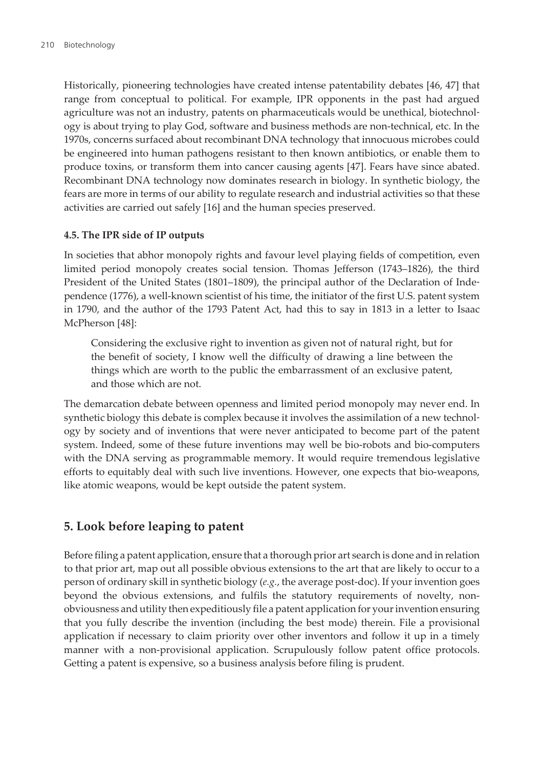Historically, pioneering technologies have created intense patentability debates [[46,](#page-35-0) [47\]](#page-35-0) that range from conceptual to political. For example, IPR opponents in the past had argued agriculture was not an industry, patents on pharmaceuticals would be unethical, biotechnology is about trying to play God, software and business methods are non-technical, etc. In the 1970s, concerns surfaced about recombinant DNA technology that innocuous microbes could be engineered into human pathogens resistant to then known antibiotics, or enable them to produce toxins, or transform them into cancer causing agents [\[47](#page-35-0)]. Fears have since abated. Recombinant DNA technology now dominates research in biology. In synthetic biology, the fears are more in terms of our ability to regulate research and industrial activities so that these activities are carried out safely [\[16](#page-33-0)] and the human species preserved.

### **4.5. The IPR side of IP outputs**

In societies that abhor monopoly rights and favour level playing fields of competition, even limited period monopoly creates social tension. Thomas Jefferson (1743–1826), the third President of the United States (1801-1809), the principal author of the Declaration of Independence (1776), a well-known scientist of his time, the initiator of the first U.S. patent system in 1790, and the author of the 1793 Patent Act, had this to say in 1813 in a letter to Isaac McPherson [[48\]](#page-35-0):

Considering the exclusive right to invention as given not of natural right, but for the benefit of society, I know well the difficulty of drawing a line between the things which are worth to the public the embarrassment of an exclusive patent, and those which are not.

The demarcation debate between openness and limited period monopoly may never end. In synthetic biology this debate is complex because it involves the assimilation of a new technology by society and of inventions that were never anticipated to become part of the patent system. Indeed, some of these future inventions may well be bio-robots and bio-computers with the DNA serving as programmable memory. It would require tremendous legislative efforts to equitably deal with such live inventions. However, one expects that bio-weapons, like atomic weapons, would be kept outside the patent system.

# **5. Look before leaping to patent**

Before filing a patent application, ensure that a thorough prior art search is done and in relation to that prior art, map out all possible obvious extensions to the art that are likely to occur to a person of ordinary skill in synthetic biology (*e.g.*, the average post-doc). If your invention goes beyond the obvious extensions, and fulfils the statutory requirements of novelty, nonobviousness and utility then expeditiously file a patent application for your invention ensuring that you fully describe the invention (including the best mode) therein. File a provisional application if necessary to claim priority over other inventors and follow it up in a timely manner with a non-provisional application. Scrupulously follow patent office protocols. Getting a patent is expensive, so a business analysis before filing is prudent.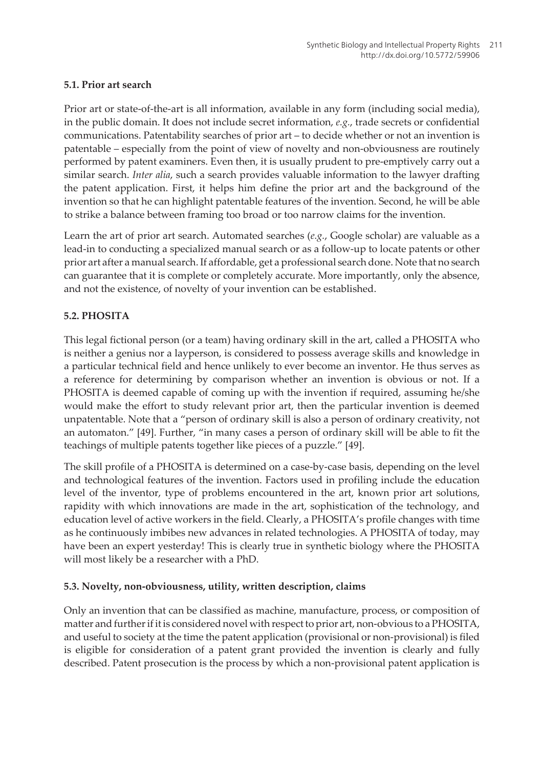### **5.1. Prior art search**

Prior art or state-of-the-art is all information, available in any form (including social media), in the public domain. It does not include secret information, *e.g.*, trade secrets or confidential communications. Patentability searches of prior art – to decide whether or not an invention is patentable – especially from the point of view of novelty and non-obviousness are routinely performed by patent examiners. Even then, it is usually prudent to pre-emptively carry out a similar search. *Inter alia*, such a search provides valuable information to the lawyer drafting the patent application. First, it helps him define the prior art and the background of the invention so that he can highlight patentable features of the invention. Second, he will be able to strike a balance between framing too broad or too narrow claims for the invention.

Learn the art of prior art search. Automated searches (*e.g.*, Google scholar) are valuable as a lead-in to conducting a specialized manual search or as a follow-up to locate patents or other prior art after a manual search. If affordable, get a professional search done. Note that no search can guarantee that it is complete or completely accurate. More importantly, only the absence, and not the existence, of novelty of your invention can be established.

### **5.2. PHOSITA**

This legal fictional person (or a team) having ordinary skill in the art, called a PHOSITA who is neither a genius nor a layperson, is considered to possess average skills and knowledge in a particular technical field and hence unlikely to ever become an inventor. He thus serves as a reference for determining by comparison whether an invention is obvious or not. If a PHOSITA is deemed capable of coming up with the invention if required, assuming he/she would make the effort to study relevant prior art, then the particular invention is deemed unpatentable. Note that a "person of ordinary skill is also a person of ordinary creativity, not an automaton." [\[49](#page-36-0)]. Further, "in many cases a person of ordinary skill will be able to fit the teachings of multiple patents together like pieces of a puzzle." [[49\]](#page-36-0).

The skill profile of a PHOSITA is determined on a case-by-case basis, depending on the level and technological features of the invention. Factors used in profiling include the education level of the inventor, type of problems encountered in the art, known prior art solutions, rapidity with which innovations are made in the art, sophistication of the technology, and education level of active workers in the field. Clearly, a PHOSITA's profile changes with time as he continuously imbibes new advances in related technologies. A PHOSITA of today, may have been an expert yesterday! This is clearly true in synthetic biology where the PHOSITA will most likely be a researcher with a PhD.

### **5.3. Novelty, non-obviousness, utility, written description, claims**

Only an invention that can be classified as machine, manufacture, process, or composition of matter and further if it is considered novel with respect to prior art, non-obvious to a PHOSITA, and useful to society at the time the patent application (provisional or non-provisional) is filed is eligible for consideration of a patent grant provided the invention is clearly and fully described. Patent prosecution is the process by which a non-provisional patent application is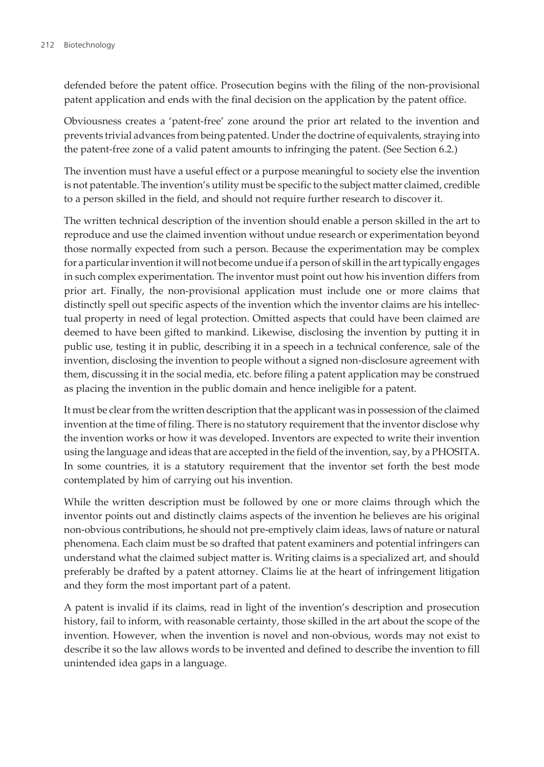defended before the patent office. Prosecution begins with the filing of the non-provisional patent application and ends with the final decision on the application by the patent office.

Obviousness creates a 'patent-free' zone around the prior art related to the invention and prevents trivial advances from being patented. Under the doctrine of equivalents, straying into the patent-free zone of a valid patent amounts to infringing the patent. (See Section 6.2.)

The invention must have a useful effect or a purpose meaningful to society else the invention is not patentable. The invention's utility must be specific to the subject matter claimed, credible to a person skilled in the field, and should not require further research to discover it.

The written technical description of the invention should enable a person skilled in the art to reproduce and use the claimed invention without undue research or experimentation beyond those normally expected from such a person. Because the experimentation may be complex for a particular invention it will not become undue if a person of skill in the art typically engages in such complex experimentation. The inventor must point out how his invention differs from prior art. Finally, the non-provisional application must include one or more claims that distinctly spell out specific aspects of the invention which the inventor claims are his intellec‐ tual property in need of legal protection. Omitted aspects that could have been claimed are deemed to have been gifted to mankind. Likewise, disclosing the invention by putting it in public use, testing it in public, describing it in a speech in a technical conference, sale of the invention, disclosing the invention to people without a signed non-disclosure agreement with them, discussing it in the social media, etc. before filing a patent application may be construed as placing the invention in the public domain and hence ineligible for a patent.

It must be clear from the written description that the applicant was in possession of the claimed invention at the time of filing. There is no statutory requirement that the inventor disclose why the invention works or how it was developed. Inventors are expected to write their invention using the language and ideas that are accepted in the field of the invention, say, by a PHOSITA. In some countries, it is a statutory requirement that the inventor set forth the best mode contemplated by him of carrying out his invention.

While the written description must be followed by one or more claims through which the inventor points out and distinctly claims aspects of the invention he believes are his original non-obvious contributions, he should not pre-emptively claim ideas, laws of nature or natural phenomena. Each claim must be so drafted that patent examiners and potential infringers can understand what the claimed subject matter is. Writing claims is a specialized art, and should preferably be drafted by a patent attorney. Claims lie at the heart of infringement litigation and they form the most important part of a patent.

A patent is invalid if its claims, read in light of the invention's description and prosecution history, fail to inform, with reasonable certainty, those skilled in the art about the scope of the invention. However, when the invention is novel and non-obvious, words may not exist to describe it so the law allows words to be invented and defined to describe the invention to fill unintended idea gaps in a language.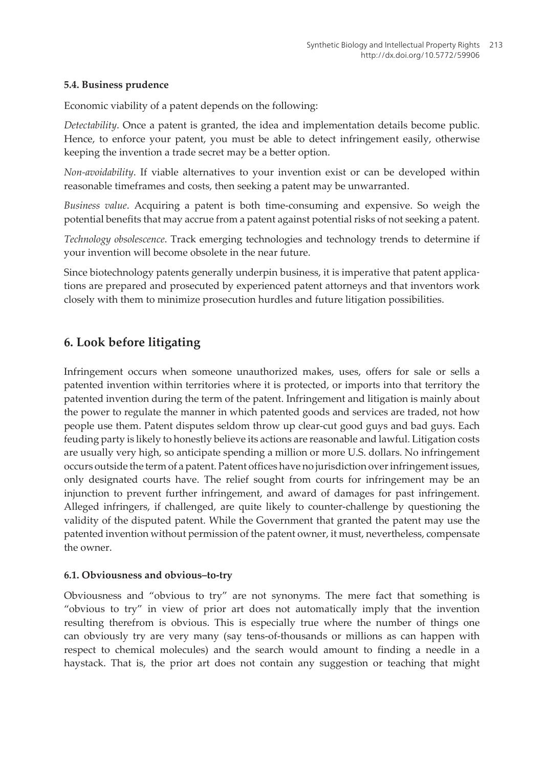### **5.4. Business prudence**

Economic viability of a patent depends on the following:

*Detectability*. Once a patent is granted, the idea and implementation details become public. Hence, to enforce your patent, you must be able to detect infringement easily, otherwise keeping the invention a trade secret may be a better option.

*Non-avoidability*. If viable alternatives to your invention exist or can be developed within reasonable timeframes and costs, then seeking a patent may be unwarranted.

*Business value*. Acquiring a patent is both time-consuming and expensive. So weigh the potential benefits that may accrue from a patent against potential risks of not seeking a patent.

*Technology obsolescence*. Track emerging technologies and technology trends to determine if your invention will become obsolete in the near future.

Since biotechnology patents generally underpin business, it is imperative that patent applications are prepared and prosecuted by experienced patent attorneys and that inventors work closely with them to minimize prosecution hurdles and future litigation possibilities.

# **6. Look before litigating**

Infringement occurs when someone unauthorized makes, uses, offers for sale or sells a patented invention within territories where it is protected, or imports into that territory the patented invention during the term of the patent. Infringement and litigation is mainly about the power to regulate the manner in which patented goods and services are traded, not how people use them. Patent disputes seldom throw up clear-cut good guys and bad guys. Each feuding party is likely to honestly believe its actions are reasonable and lawful. Litigation costs are usually very high, so anticipate spending a million or more U.S. dollars. No infringement occurs outside the term of a patent. Patent offices have no jurisdiction over infringement issues, only designated courts have. The relief sought from courts for infringement may be an injunction to prevent further infringement, and award of damages for past infringement. Alleged infringers, if challenged, are quite likely to counter-challenge by questioning the validity of the disputed patent. While the Government that granted the patent may use the patented invention without permission of the patent owner, it must, nevertheless, compensate the owner.

### **6.1. Obviousness and obvious–to-try**

Obviousness and "obvious to try" are not synonyms. The mere fact that something is "obvious to try" in view of prior art does not automatically imply that the invention resulting therefrom is obvious. This is especially true where the number of things one can obviously try are very many (say tens-of-thousands or millions as can happen with respect to chemical molecules) and the search would amount to finding a needle in a haystack. That is, the prior art does not contain any suggestion or teaching that might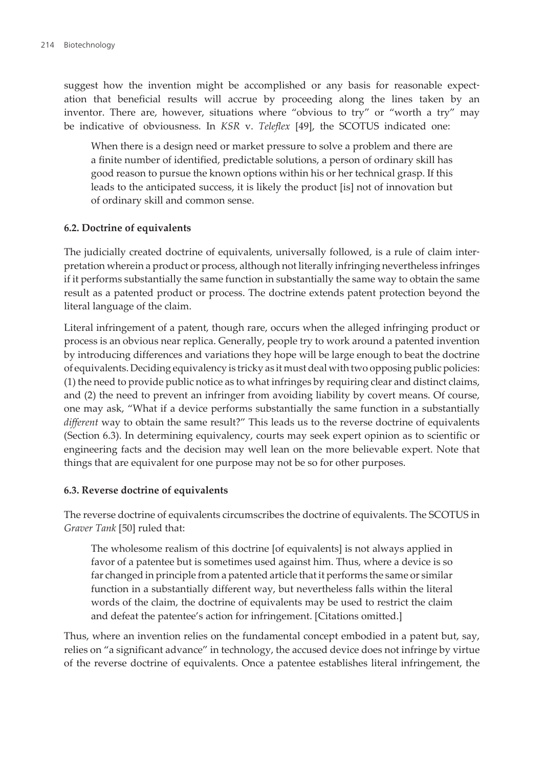suggest how the invention might be accomplished or any basis for reasonable expectation that beneficial results will accrue by proceeding along the lines taken by an inventor. There are, however, situations where "obvious to try" or "worth a try" may be indicative of obviousness. In *KSR* v. *Teleflex* [[49\]](#page-36-0), the SCOTUS indicated one:

When there is a design need or market pressure to solve a problem and there are a finite number of identified, predictable solutions, a person of ordinary skill has good reason to pursue the known options within his or her technical grasp. If this leads to the anticipated success, it is likely the product [is] not of innovation but of ordinary skill and common sense.

### **6.2. Doctrine of equivalents**

The judicially created doctrine of equivalents, universally followed, is a rule of claim inter‐ pretation wherein a product or process, although not literally infringing nevertheless infringes if it performs substantially the same function in substantially the same way to obtain the same result as a patented product or process. The doctrine extends patent protection beyond the literal language of the claim.

Literal infringement of a patent, though rare, occurs when the alleged infringing product or process is an obvious near replica. Generally, people try to work around a patented invention by introducing differences and variations they hope will be large enough to beat the doctrine of equivalents. Deciding equivalency is tricky as it must deal with two opposing public policies: (1) the need to provide public notice as to what infringes by requiring clear and distinct claims, and (2) the need to prevent an infringer from avoiding liability by covert means. Of course, one may ask, "What if a device performs substantially the same function in a substantially *different* way to obtain the same result?" This leads us to the reverse doctrine of equivalents (Section 6.3). In determining equivalency, courts may seek expert opinion as to scientific or engineering facts and the decision may well lean on the more believable expert. Note that things that are equivalent for one purpose may not be so for other purposes.

### **6.3. Reverse doctrine of equivalents**

The reverse doctrine of equivalents circumscribes the doctrine of equivalents. The SCOTUS in *Graver Tank* [\[50](#page-36-0)] ruled that:

The wholesome realism of this doctrine [of equivalents] is not always applied in favor of a patentee but is sometimes used against him. Thus, where a device is so far changed in principle from a patented article that it performs the same or similar function in a substantially different way, but nevertheless falls within the literal words of the claim, the doctrine of equivalents may be used to restrict the claim and defeat the patentee's action for infringement. [Citations omitted.]

Thus, where an invention relies on the fundamental concept embodied in a patent but, say, relies on "a significant advance" in technology, the accused device does not infringe by virtue of the reverse doctrine of equivalents. Once a patentee establishes literal infringement, the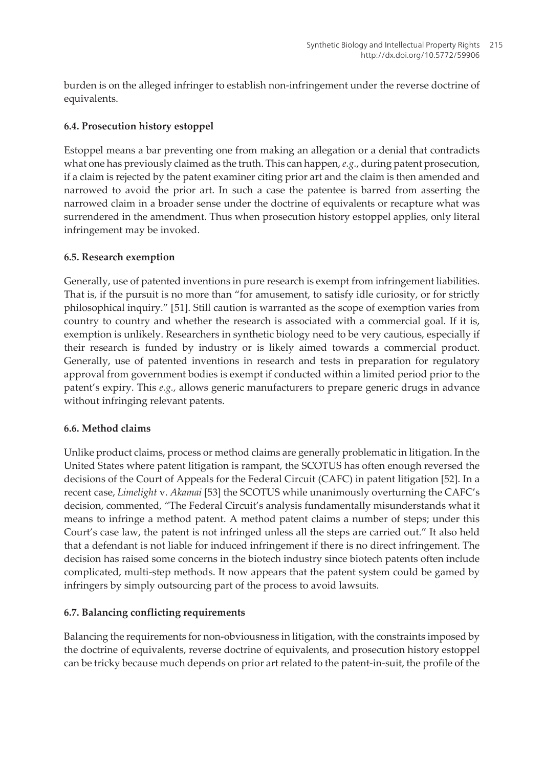burden is on the alleged infringer to establish non-infringement under the reverse doctrine of equivalents.

### **6.4. Prosecution history estoppel**

Estoppel means a bar preventing one from making an allegation or a denial that contradicts what one has previously claimed as the truth. This can happen, *e.g.*, during patent prosecution, if a claim is rejected by the patent examiner citing prior art and the claim is then amended and narrowed to avoid the prior art. In such a case the patentee is barred from asserting the narrowed claim in a broader sense under the doctrine of equivalents or recapture what was surrendered in the amendment. Thus when prosecution history estoppel applies, only literal infringement may be invoked.

### **6.5. Research exemption**

Generally, use of patented inventions in pure research is exempt from infringement liabilities. That is, if the pursuit is no more than "for amusement, to satisfy idle curiosity, or for strictly philosophical inquiry." [[51\]](#page-36-0). Still caution is warranted as the scope of exemption varies from country to country and whether the research is associated with a commercial goal. If it is, exemption is unlikely. Researchers in synthetic biology need to be very cautious, especially if their research is funded by industry or is likely aimed towards a commercial product. Generally, use of patented inventions in research and tests in preparation for regulatory approval from government bodies is exempt if conducted within a limited period prior to the patent's expiry. This *e.g.*, allows generic manufacturers to prepare generic drugs in advance without infringing relevant patents.

### **6.6. Method claims**

Unlike product claims, process or method claims are generally problematic in litigation. In the United States where patent litigation is rampant, the SCOTUS has often enough reversed the decisions of the Court of Appeals for the Federal Circuit (CAFC) in patent litigation [[52\]](#page-36-0). In a recent case, *Limelight* v. *Akamai* [[53\]](#page-36-0) the SCOTUS while unanimously overturning the CAFC's decision, commented, "The Federal Circuit's analysis fundamentally misunderstands what it means to infringe a method patent. A method patent claims a number of steps; under this Court's case law, the patent is not infringed unless all the steps are carried out." It also held that a defendant is not liable for induced infringement if there is no direct infringement. The decision has raised some concerns in the biotech industry since biotech patents often include complicated, multi-step methods. It now appears that the patent system could be gamed by infringers by simply outsourcing part of the process to avoid lawsuits.

### **6.7. Balancing conflicting requirements**

Balancing the requirements for non-obviousness in litigation, with the constraints imposed by the doctrine of equivalents, reverse doctrine of equivalents, and prosecution history estoppel can be tricky because much depends on prior art related to the patent-in-suit, the profile of the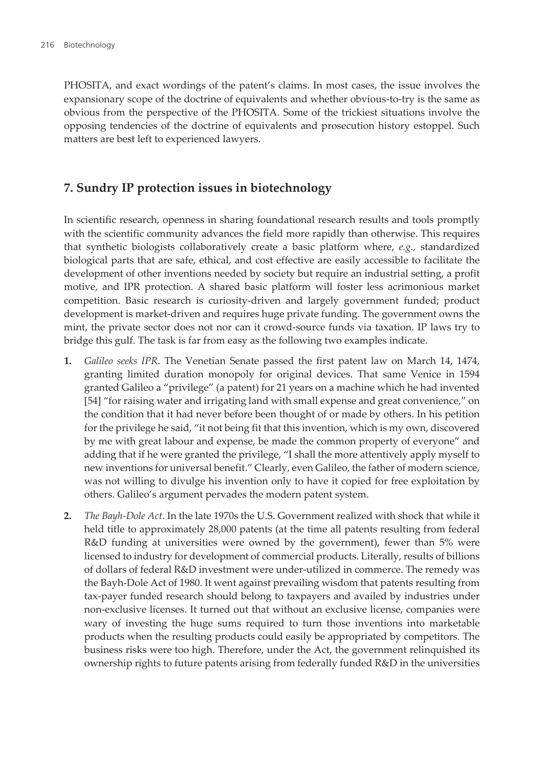PHOSITA, and exact wordings of the patent's claims. In most cases, the issue involves the expansionary scope of the doctrine of equivalents and whether obvious-to-try is the same as obvious from the perspective of the PHOSITA. Some of the trickiest situations involve the opposing tendencies of the doctrine of equivalents and prosecution history estoppel. Such matters are best left to experienced lawyers.

# **7. Sundry IP protection issues in biotechnology**

In scientific research, openness in sharing foundational research results and tools promptly with the scientific community advances the field more rapidly than otherwise. This requires that synthetic biologists collaboratively create a basic platform where, *e.g.*, standardized biological parts that are safe, ethical, and cost effective are easily accessible to facilitate the development of other inventions needed by society but require an industrial setting, a profit motive, and IPR protection. A shared basic platform will foster less acrimonious market competition. Basic research is curiosity-driven and largely government funded; product development is market-driven and requires huge private funding. The government owns the mint, the private sector does not nor can it crowd-source funds via taxation. IP laws try to bridge this gulf. The task is far from easy as the following two examples indicate.

- **1.** *Galileo seeks IPR*. The Venetian Senate passed the first patent law on March 14, 1474, granting limited duration monopoly for original devices. That same Venice in 1594 granted Galileo a "privilege" (a patent) for 21 years on a machine which he had invented [[54\]](#page-36-0) "for raising water and irrigating land with small expense and great convenience," on the condition that it had never before been thought of or made by others. In his petition for the privilege he said, "it not being fit that this invention, which is my own, discovered by me with great labour and expense, be made the common property of everyone" and adding that if he were granted the privilege, "I shall the more attentively apply myself to new inventions for universal benefit." Clearly, even Galileo, the father of modern science, was not willing to divulge his invention only to have it copied for free exploitation by others. Galileo's argument pervades the modern patent system.
- **2.** *The Bayh-Dole Act*. In the late 1970s the U.S. Government realized with shock that while it held title to approximately 28,000 patents (at the time all patents resulting from federal R&D funding at universities were owned by the government), fewer than 5% were licensed to industry for development of commercial products. Literally, results of billions of dollars of federal R&D investment were under-utilized in commerce. The remedy was the Bayh-Dole Act of 1980. It went against prevailing wisdom that patents resulting from tax-payer funded research should belong to taxpayers and availed by industries under non-exclusive licenses. It turned out that without an exclusive license, companies were wary of investing the huge sums required to turn those inventions into marketable products when the resulting products could easily be appropriated by competitors. The business risks were too high. Therefore, under the Act, the government relinquished its ownership rights to future patents arising from federally funded R&D in the universities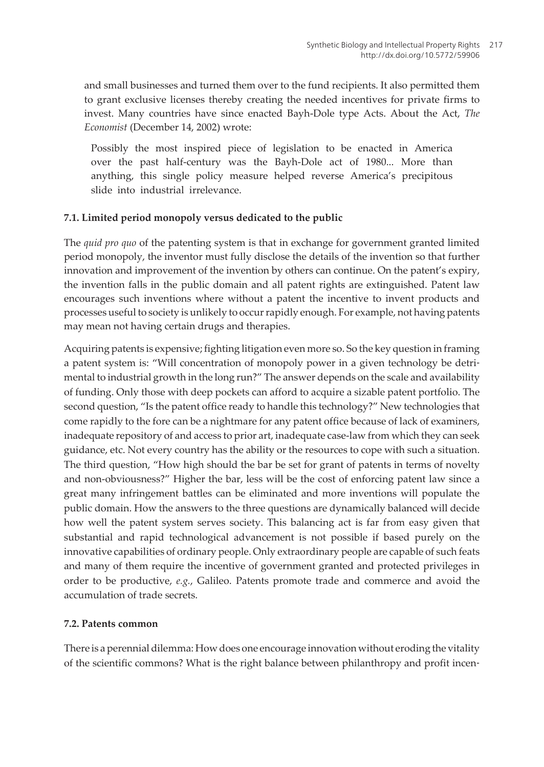and small businesses and turned them over to the fund recipients. It also permitted them to grant exclusive licenses thereby creating the needed incentives for private firms to invest. Many countries have since enacted Bayh-Dole type Acts. About the Act, *The Economist* (December 14, 2002) wrote:

Possibly the most inspired piece of legislation to be enacted in America over the past half-century was the Bayh-Dole act of 1980... More than anything, this single policy measure helped reverse America's precipitous slide into industrial irrelevance.

### **7.1. Limited period monopoly versus dedicated to the public**

The *quid pro quo* of the patenting system is that in exchange for government granted limited period monopoly, the inventor must fully disclose the details of the invention so that further innovation and improvement of the invention by others can continue. On the patent's expiry, the invention falls in the public domain and all patent rights are extinguished. Patent law encourages such inventions where without a patent the incentive to invent products and processes useful to society is unlikely to occur rapidly enough. For example, not having patents may mean not having certain drugs and therapies.

Acquiring patents is expensive; fighting litigation even more so. So the key question in framing a patent system is: "Will concentration of monopoly power in a given technology be detrimental to industrial growth in the long run?" The answer depends on the scale and availability of funding. Only those with deep pockets can afford to acquire a sizable patent portfolio. The second question, "Is the patent office ready to handle this technology?" New technologies that come rapidly to the fore can be a nightmare for any patent office because of lack of examiners, inadequate repository of and access to prior art, inadequate case-law from which they can seek guidance, etc. Not every country has the ability or the resources to cope with such a situation. The third question, "How high should the bar be set for grant of patents in terms of novelty and non-obviousness?" Higher the bar, less will be the cost of enforcing patent law since a great many infringement battles can be eliminated and more inventions will populate the public domain. How the answers to the three questions are dynamically balanced will decide how well the patent system serves society. This balancing act is far from easy given that substantial and rapid technological advancement is not possible if based purely on the innovative capabilities of ordinary people. Only extraordinary people are capable of such feats and many of them require the incentive of government granted and protected privileges in order to be productive, *e.g.*, Galileo. Patents promote trade and commerce and avoid the accumulation of trade secrets.

### **7.2. Patents common**

There is a perennial dilemma: How does one encourage innovation without eroding the vitality of the scientific commons? What is the right balance between philanthropy and profit incen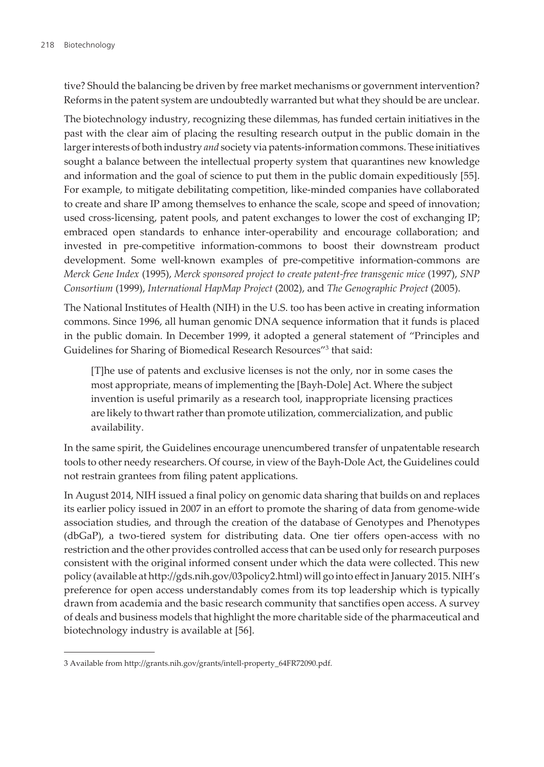tive? Should the balancing be driven by free market mechanisms or government intervention? Reforms in the patent system are undoubtedly warranted but what they should be are unclear.

The biotechnology industry, recognizing these dilemmas, has funded certain initiatives in the past with the clear aim of placing the resulting research output in the public domain in the larger interests of both industry *and* society via patents-information commons. These initiatives sought a balance between the intellectual property system that quarantines new knowledge and information and the goal of science to put them in the public domain expeditiously [\[55\]](#page-36-0). For example, to mitigate debilitating competition, like-minded companies have collaborated to create and share IP among themselves to enhance the scale, scope and speed of innovation; used cross-licensing, patent pools, and patent exchanges to lower the cost of exchanging IP; embraced open standards to enhance inter-operability and encourage collaboration; and invested in pre-competitive information-commons to boost their downstream product development. Some well-known examples of pre-competitive information-commons are *Merck Gene Index* (1995), *Merck sponsored project to create patent-free transgenic mice* (1997), *SNP Consortium* (1999), *International HapMap Project* (2002), and *The Genographic Project* (2005).

The National Institutes of Health (NIH) in the U.S. too has been active in creating information commons. Since 1996, all human genomic DNA sequence information that it funds is placed in the public domain. In December 1999, it adopted a general statement of "Principles and Guidelines for Sharing of Biomedical Research Resources"<sup>3</sup> that said:

[T]he use of patents and exclusive licenses is not the only, nor in some cases the most appropriate, means of implementing the [Bayh-Dole] Act. Where the subject invention is useful primarily as a research tool, inappropriate licensing practices are likely to thwart rather than promote utilization, commercialization, and public availability.

In the same spirit, the Guidelines encourage unencumbered transfer of unpatentable research tools to other needy researchers. Of course, in view of the Bayh-Dole Act, the Guidelines could not restrain grantees from filing patent applications.

In August 2014, NIH issued a final policy on genomic data sharing that builds on and replaces its earlier policy issued in 2007 in an effort to promote the sharing of data from genome-wide association studies, and through the creation of the database of Genotypes and Phenotypes (dbGaP), a two-tiered system for distributing data. One tier offers open-access with no restriction and the other provides controlled access that can be used only for research purposes consistent with the original informed consent under which the data were collected. This new policy (available at http://gds.nih.gov/03policy2.html) will go into effect in January 2015. NIH's preference for open access understandably comes from its top leadership which is typically drawn from academia and the basic research community that sanctifies open access. A survey of deals and business models that highlight the more charitable side of the pharmaceutical and biotechnology industry is available at [\[56](#page-36-0)].

<sup>3</sup> Available from http://grants.nih.gov/grants/intell-property\_64FR72090.pdf.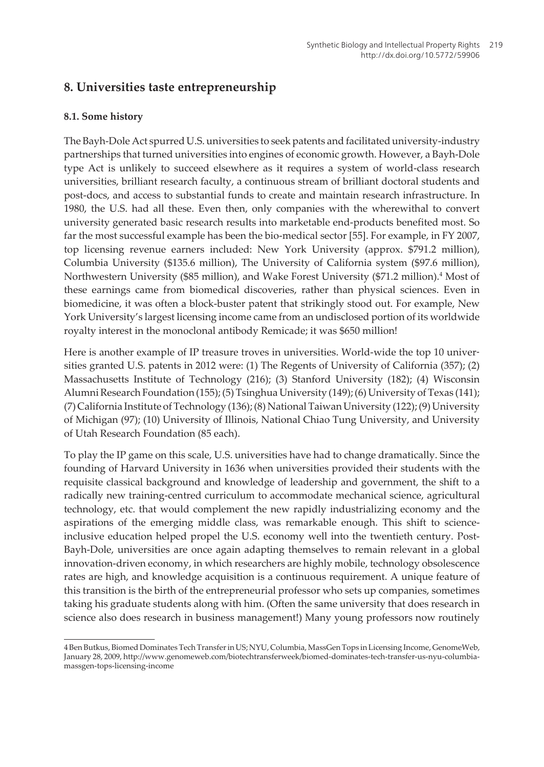# **8. Universities taste entrepreneurship**

### **8.1. Some history**

The Bayh-Dole Act spurred U.S. universities to seek patents and facilitated university-industry partnerships that turned universities into engines of economic growth. However, a Bayh-Dole type Act is unlikely to succeed elsewhere as it requires a system of world-class research universities, brilliant research faculty, a continuous stream of brilliant doctoral students and post-docs, and access to substantial funds to create and maintain research infrastructure. In 1980, the U.S. had all these. Even then, only companies with the wherewithal to convert university generated basic research results into marketable end-products benefited most. So far the most successful example has been the bio-medical sector [\[55](#page-36-0)]. For example, in FY 2007, top licensing revenue earners included: New York University (approx. \$791.2 million), Columbia University (\$135.6 million), The University of California system (\$97.6 million), Northwestern University (\$85 million), and Wake Forest University (\$71.2 million).<sup>4</sup> Most of these earnings came from biomedical discoveries, rather than physical sciences. Even in biomedicine, it was often a block-buster patent that strikingly stood out. For example, New York University's largest licensing income came from an undisclosed portion of its worldwide royalty interest in the monoclonal antibody Remicade; it was \$650 million!

Here is another example of IP treasure troves in universities. World-wide the top 10 universities granted U.S. patents in 2012 were: (1) The Regents of University of California (357); (2) Massachusetts Institute of Technology (216); (3) Stanford University (182); (4) Wisconsin Alumni Research Foundation (155); (5) Tsinghua University (149); (6) University of Texas (141); (7) California Institute of Technology (136); (8) National Taiwan University (122); (9) University of Michigan (97); (10) University of Illinois, National Chiao Tung University, and University of Utah Research Foundation (85 each).

To play the IP game on this scale, U.S. universities have had to change dramatically. Since the founding of Harvard University in 1636 when universities provided their students with the requisite classical background and knowledge of leadership and government, the shift to a radically new training-centred curriculum to accommodate mechanical science, agricultural technology, etc. that would complement the new rapidly industrializing economy and the aspirations of the emerging middle class, was remarkable enough. This shift to scienceinclusive education helped propel the U.S. economy well into the twentieth century. Post-Bayh-Dole, universities are once again adapting themselves to remain relevant in a global innovation-driven economy, in which researchers are highly mobile, technology obsolescence rates are high, and knowledge acquisition is a continuous requirement. A unique feature of this transition is the birth of the entrepreneurial professor who sets up companies, sometimes taking his graduate students along with him. (Often the same university that does research in science also does research in business management!) Many young professors now routinely

<sup>4</sup> Ben Butkus, Biomed Dominates Tech Transfer in US; NYU, Columbia, MassGen Tops in Licensing Income, GenomeWeb, January 28, 2009, http://www.genomeweb.com/biotechtransferweek/biomed-dominates-tech-transfer-us-nyu-columbiamassgen-tops-licensing-income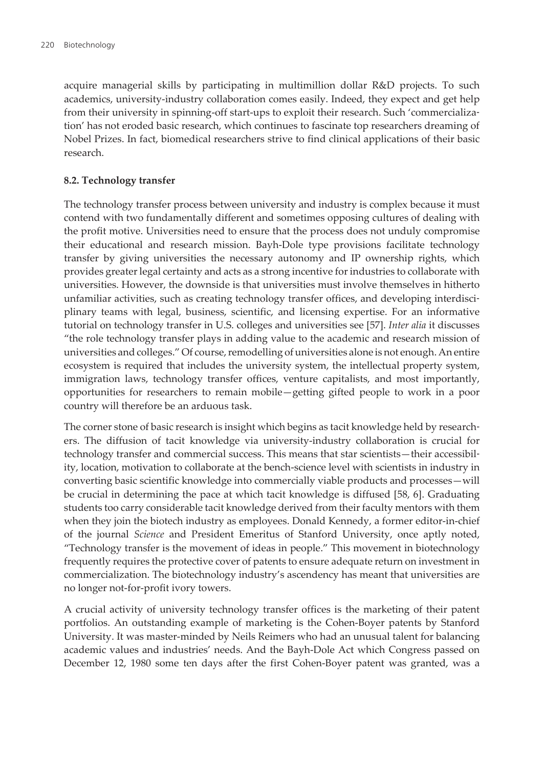acquire managerial skills by participating in multimillion dollar R&D projects. To such academics, university-industry collaboration comes easily. Indeed, they expect and get help from their university in spinning-off start-ups to exploit their research. Such 'commercialization' has not eroded basic research, which continues to fascinate top researchers dreaming of Nobel Prizes. In fact, biomedical researchers strive to find clinical applications of their basic research.

### **8.2. Technology transfer**

The technology transfer process between university and industry is complex because it must contend with two fundamentally different and sometimes opposing cultures of dealing with the profit motive. Universities need to ensure that the process does not unduly compromise their educational and research mission. Bayh-Dole type provisions facilitate technology transfer by giving universities the necessary autonomy and IP ownership rights, which provides greater legal certainty and acts as a strong incentive for industries to collaborate with universities. However, the downside is that universities must involve themselves in hitherto unfamiliar activities, such as creating technology transfer offices, and developing interdisciplinary teams with legal, business, scientific, and licensing expertise. For an informative tutorial on technology transfer in U.S. colleges and universities see [[57\]](#page-36-0). *Inter alia* it discusses "the role technology transfer plays in adding value to the academic and research mission of universities and colleges." Of course, remodelling of universities alone is not enough. An entire ecosystem is required that includes the university system, the intellectual property system, immigration laws, technology transfer offices, venture capitalists, and most importantly, opportunities for researchers to remain mobile—getting gifted people to work in a poor country will therefore be an arduous task.

The corner stone of basic research is insight which begins as tacit knowledge held by researchers. The diffusion of tacit knowledge via university-industry collaboration is crucial for technology transfer and commercial success. This means that star scientists—their accessibility, location, motivation to collaborate at the bench-science level with scientists in industry in converting basic scientific knowledge into commercially viable products and processes—will be crucial in determining the pace at which tacit knowledge is diffused [\[58](#page-36-0), [6\]](#page-32-0). Graduating students too carry considerable tacit knowledge derived from their faculty mentors with them when they join the biotech industry as employees. Donald Kennedy, a former editor-in-chief of the journal *Science* and President Emeritus of Stanford University, once aptly noted, "Technology transfer is the movement of ideas in people." This movement in biotechnology frequently requires the protective cover of patents to ensure adequate return on investment in commercialization. The biotechnology industry's ascendency has meant that universities are no longer not-for-profit ivory towers.

A crucial activity of university technology transfer offices is the marketing of their patent portfolios. An outstanding example of marketing is the Cohen-Boyer patents by Stanford University. It was master-minded by Neils Reimers who had an unusual talent for balancing academic values and industries' needs. And the Bayh-Dole Act which Congress passed on December 12, 1980 some ten days after the first Cohen-Boyer patent was granted, was a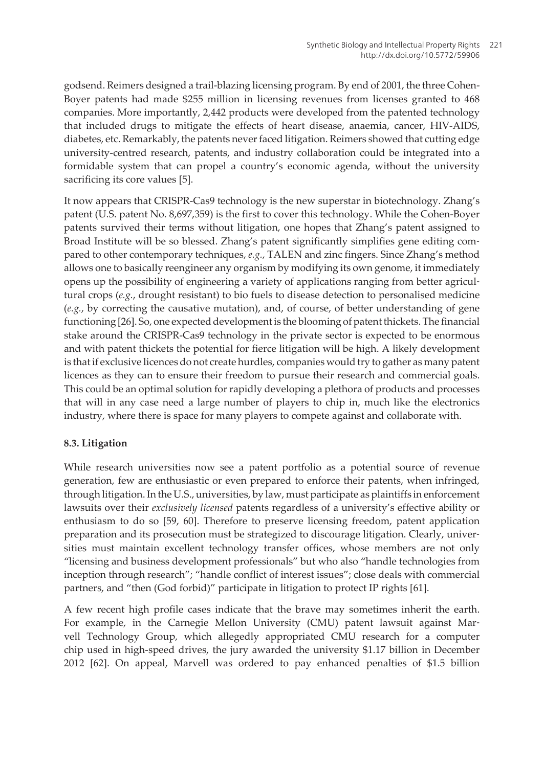godsend. Reimers designed a trail-blazing licensing program. By end of 2001, the three Cohen-Boyer patents had made \$255 million in licensing revenues from licenses granted to 468 companies. More importantly, 2,442 products were developed from the patented technology that included drugs to mitigate the effects of heart disease, anaemia, cancer, HIV-AIDS, diabetes, etc. Remarkably, the patents never faced litigation. Reimers showed that cutting edge university-centred research, patents, and industry collaboration could be integrated into a formidable system that can propel a country's economic agenda, without the university sacrificing its core values [[5](#page-32-0)].

It now appears that CRISPR-Cas9 technology is the new superstar in biotechnology. Zhang's patent (U.S. patent No. 8,697,359) is the first to cover this technology. While the Cohen-Boyer patents survived their terms without litigation, one hopes that Zhang's patent assigned to Broad Institute will be so blessed. Zhang's patent significantly simplifies gene editing compared to other contemporary techniques, *e.g.*, TALEN and zinc fingers. Since Zhang's method allows one to basically reengineer any organism by modifying its own genome, it immediately opens up the possibility of engineering a variety of applications ranging from better agricul‐ tural crops (*e.g.*, drought resistant) to bio fuels to disease detection to personalised medicine (*e.g.*, by correcting the causative mutation), and, of course, of better understanding of gene functioning [\[26](#page-34-0)]. So, one expected development is the blooming of patent thickets. The financial stake around the CRISPR-Cas9 technology in the private sector is expected to be enormous and with patent thickets the potential for fierce litigation will be high. A likely development is that if exclusive licences do not create hurdles, companies would try to gather as many patent licences as they can to ensure their freedom to pursue their research and commercial goals. This could be an optimal solution for rapidly developing a plethora of products and processes that will in any case need a large number of players to chip in, much like the electronics industry, where there is space for many players to compete against and collaborate with.

### **8.3. Litigation**

While research universities now see a patent portfolio as a potential source of revenue generation, few are enthusiastic or even prepared to enforce their patents, when infringed, through litigation. In the U.S., universities, by law, must participate as plaintiffs in enforcement lawsuits over their *exclusively licensed* patents regardless of a university's effective ability or enthusiasm to do so [[59,](#page-36-0) [60](#page-36-0)]. Therefore to preserve licensing freedom, patent application preparation and its prosecution must be strategized to discourage litigation. Clearly, universities must maintain excellent technology transfer offices, whose members are not only "licensing and business development professionals" but who also "handle technologies from inception through research"; "handle conflict of interest issues"; close deals with commercial partners, and "then (God forbid)" participate in litigation to protect IP rights [\[61](#page-36-0)].

A few recent high profile cases indicate that the brave may sometimes inherit the earth. For example, in the Carnegie Mellon University (CMU) patent lawsuit against Marvell Technology Group, which allegedly appropriated CMU research for a computer chip used in high-speed drives, the jury awarded the university \$1.17 billion in December 2012[[62\]](#page-37-0). On appeal, Marvell was ordered to pay enhanced penalties of \$1.5 billion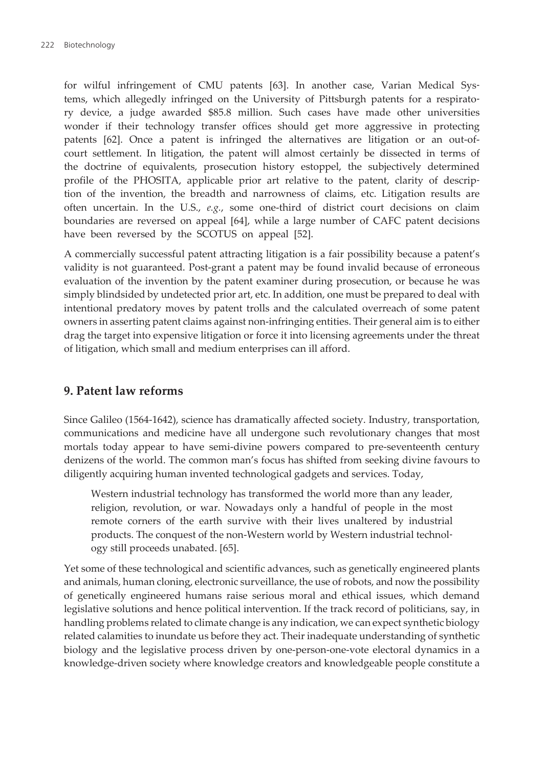for wilful infringement of CMU patents [[63\]](#page-37-0). In another case, Varian Medical Systems, which allegedly infringed on the University of Pittsburgh patents for a respiratory device, a judge awarded \$85.8 million. Such cases have made other universities wonder if their technology transfer offices should get more aggressive in protecting patents [[62\]](#page-37-0). Once a patent is infringed the alternatives are litigation or an out-ofcourt settlement. In litigation, the patent will almost certainly be dissected in terms of the doctrine of equivalents, prosecution history estoppel, the subjectively determined profile of the PHOSITA, applicable prior art relative to the patent, clarity of descrip‐ tion of the invention, the breadth and narrowness of claims, etc. Litigation results are often uncertain. In the U.S., *e.g.*, some one-third of district court decisions on claim boundaries are reversed on appeal [\[64](#page-37-0)], while a large number of CAFC patent decisions have been reversed by the SCOTUS on appeal [\[52](#page-36-0)].

A commercially successful patent attracting litigation is a fair possibility because a patent's validity is not guaranteed. Post-grant a patent may be found invalid because of erroneous evaluation of the invention by the patent examiner during prosecution, or because he was simply blindsided by undetected prior art, etc. In addition, one must be prepared to deal with intentional predatory moves by patent trolls and the calculated overreach of some patent owners in asserting patent claims against non-infringing entities. Their general aim is to either drag the target into expensive litigation or force it into licensing agreements under the threat of litigation, which small and medium enterprises can ill afford.

# **9. Patent law reforms**

Since Galileo (1564-1642), science has dramatically affected society. Industry, transportation, communications and medicine have all undergone such revolutionary changes that most mortals today appear to have semi-divine powers compared to pre-seventeenth century denizens of the world. The common man's focus has shifted from seeking divine favours to diligently acquiring human invented technological gadgets and services. Today,

Western industrial technology has transformed the world more than any leader, religion, revolution, or war. Nowadays only a handful of people in the most remote corners of the earth survive with their lives unaltered by industrial products. The conquest of the non-Western world by Western industrial technol‐ ogy still proceeds unabated. [[65\]](#page-37-0).

Yet some of these technological and scientific advances, such as genetically engineered plants and animals, human cloning, electronic surveillance, the use of robots, and now the possibility of genetically engineered humans raise serious moral and ethical issues, which demand legislative solutions and hence political intervention. If the track record of politicians, say, in handling problems related to climate change is any indication, we can expect synthetic biology related calamities to inundate us before they act. Their inadequate understanding of synthetic biology and the legislative process driven by one-person-one-vote electoral dynamics in a knowledge-driven society where knowledge creators and knowledgeable people constitute a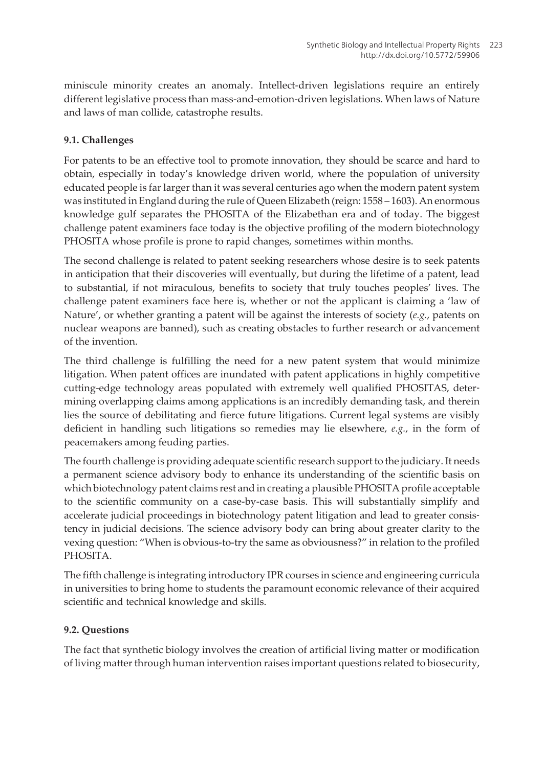miniscule minority creates an anomaly. Intellect-driven legislations require an entirely different legislative process than mass-and-emotion-driven legislations. When laws of Nature and laws of man collide, catastrophe results.

### **9.1. Challenges**

For patents to be an effective tool to promote innovation, they should be scarce and hard to obtain, especially in today's knowledge driven world, where the population of university educated people is far larger than it was several centuries ago when the modern patent system was instituted in England during the rule of Queen Elizabeth (reign: 1558 – 1603). An enormous knowledge gulf separates the PHOSITA of the Elizabethan era and of today. The biggest challenge patent examiners face today is the objective profiling of the modern biotechnology PHOSITA whose profile is prone to rapid changes, sometimes within months.

The second challenge is related to patent seeking researchers whose desire is to seek patents in anticipation that their discoveries will eventually, but during the lifetime of a patent, lead to substantial, if not miraculous, benefits to society that truly touches peoples' lives. The challenge patent examiners face here is, whether or not the applicant is claiming a 'law of Nature', or whether granting a patent will be against the interests of society (*e.g.*, patents on nuclear weapons are banned), such as creating obstacles to further research or advancement of the invention.

The third challenge is fulfilling the need for a new patent system that would minimize litigation. When patent offices are inundated with patent applications in highly competitive cutting-edge technology areas populated with extremely well qualified PHOSITAS, deter‐ mining overlapping claims among applications is an incredibly demanding task, and therein lies the source of debilitating and fierce future litigations. Current legal systems are visibly deficient in handling such litigations so remedies may lie elsewhere, *e.g.*, in the form of peacemakers among feuding parties.

The fourth challenge is providing adequate scientific research support to the judiciary. It needs a permanent science advisory body to enhance its understanding of the scientific basis on which biotechnology patent claims rest and in creating a plausible PHOSITA profile acceptable to the scientific community on a case-by-case basis. This will substantially simplify and accelerate judicial proceedings in biotechnology patent litigation and lead to greater consis‐ tency in judicial decisions. The science advisory body can bring about greater clarity to the vexing question: "When is obvious-to-try the same as obviousness?" in relation to the profiled PHOSITA.

The fifth challenge is integrating introductory IPR courses in science and engineering curricula in universities to bring home to students the paramount economic relevance of their acquired scientific and technical knowledge and skills.

### **9.2. Questions**

The fact that synthetic biology involves the creation of artificial living matter or modification of living matter through human intervention raises important questions related to biosecurity,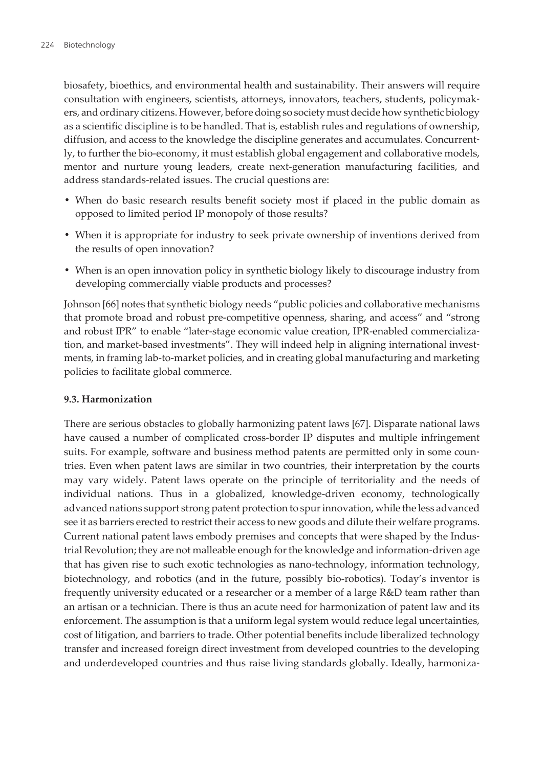biosafety, bioethics, and environmental health and sustainability. Their answers will require consultation with engineers, scientists, attorneys, innovators, teachers, students, policymak‐ ers, and ordinary citizens. However, before doing so society must decide how synthetic biology as a scientific discipline is to be handled. That is, establish rules and regulations of ownership, diffusion, and access to the knowledge the discipline generates and accumulates. Concurrently, to further the bio-economy, it must establish global engagement and collaborative models, mentor and nurture young leaders, create next-generation manufacturing facilities, and address standards-related issues. The crucial questions are:

- **•** When do basic research results benefit society most if placed in the public domain as opposed to limited period IP monopoly of those results?
- **•** When it is appropriate for industry to seek private ownership of inventions derived from the results of open innovation?
- **•** When is an open innovation policy in synthetic biology likely to discourage industry from developing commercially viable products and processes?

Johnson [[66\]](#page-37-0) notes that synthetic biology needs "public policies and collaborative mechanisms that promote broad and robust pre-competitive openness, sharing, and access" and "strong and robust IPR" to enable "later-stage economic value creation, IPR-enabled commercialization, and market-based investments". They will indeed help in aligning international invest‐ ments, in framing lab-to-market policies, and in creating global manufacturing and marketing policies to facilitate global commerce.

### **9.3. Harmonization**

There are serious obstacles to globally harmonizing patent laws [[67\]](#page-37-0). Disparate national laws have caused a number of complicated cross-border IP disputes and multiple infringement suits. For example, software and business method patents are permitted only in some countries. Even when patent laws are similar in two countries, their interpretation by the courts may vary widely. Patent laws operate on the principle of territoriality and the needs of individual nations. Thus in a globalized, knowledge-driven economy, technologically advanced nations support strong patent protection to spur innovation, while the less advanced see it as barriers erected to restrict their access to new goods and dilute their welfare programs. Current national patent laws embody premises and concepts that were shaped by the Indus‐ trial Revolution; they are not malleable enough for the knowledge and information-driven age that has given rise to such exotic technologies as nano-technology, information technology, biotechnology, and robotics (and in the future, possibly bio-robotics). Today's inventor is frequently university educated or a researcher or a member of a large R&D team rather than an artisan or a technician. There is thus an acute need for harmonization of patent law and its enforcement. The assumption is that a uniform legal system would reduce legal uncertainties, cost of litigation, and barriers to trade. Other potential benefits include liberalized technology transfer and increased foreign direct investment from developed countries to the developing and underdeveloped countries and thus raise living standards globally. Ideally, harmoniza‐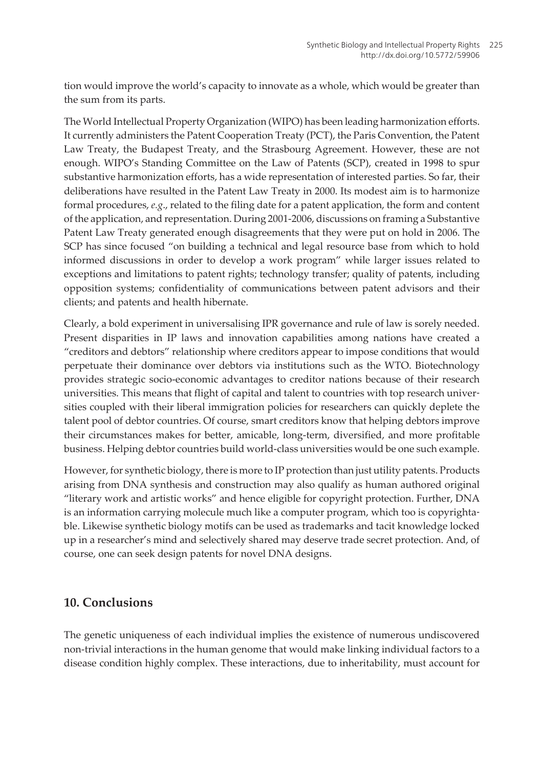tion would improve the world's capacity to innovate as a whole, which would be greater than the sum from its parts.

The World Intellectual Property Organization (WIPO) has been leading harmonization efforts. It currently administers the Patent Cooperation Treaty (PCT), the Paris Convention, the Patent Law Treaty, the Budapest Treaty, and the Strasbourg Agreement. However, these are not enough. WIPO's Standing Committee on the Law of Patents (SCP), created in 1998 to spur substantive harmonization efforts, has a wide representation of interested parties. So far, their deliberations have resulted in the Patent Law Treaty in 2000. Its modest aim is to harmonize formal procedures, *e.g*., related to the filing date for a patent application, the form and content of the application, and representation. During 2001-2006, discussions on framing a Substantive Patent Law Treaty generated enough disagreements that they were put on hold in 2006. The SCP has since focused "on building a technical and legal resource base from which to hold informed discussions in order to develop a work program" while larger issues related to exceptions and limitations to patent rights; technology transfer; quality of patents, including opposition systems; confidentiality of communications between patent advisors and their clients; and patents and health hibernate.

Clearly, a bold experiment in universalising IPR governance and rule of law is sorely needed. Present disparities in IP laws and innovation capabilities among nations have created a "creditors and debtors" relationship where creditors appear to impose conditions that would perpetuate their dominance over debtors via institutions such as the WTO. Biotechnology provides strategic socio-economic advantages to creditor nations because of their research universities. This means that flight of capital and talent to countries with top research univer‐ sities coupled with their liberal immigration policies for researchers can quickly deplete the talent pool of debtor countries. Of course, smart creditors know that helping debtors improve their circumstances makes for better, amicable, long-term, diversified, and more profitable business. Helping debtor countries build world-class universities would be one such example.

However, for synthetic biology, there is more to IP protection than just utility patents. Products arising from DNA synthesis and construction may also qualify as human authored original "literary work and artistic works" and hence eligible for copyright protection. Further, DNA is an information carrying molecule much like a computer program, which too is copyrightable. Likewise synthetic biology motifs can be used as trademarks and tacit knowledge locked up in a researcher's mind and selectively shared may deserve trade secret protection. And, of course, one can seek design patents for novel DNA designs.

# **10. Conclusions**

The genetic uniqueness of each individual implies the existence of numerous undiscovered non-trivial interactions in the human genome that would make linking individual factors to a disease condition highly complex. These interactions, due to inheritability, must account for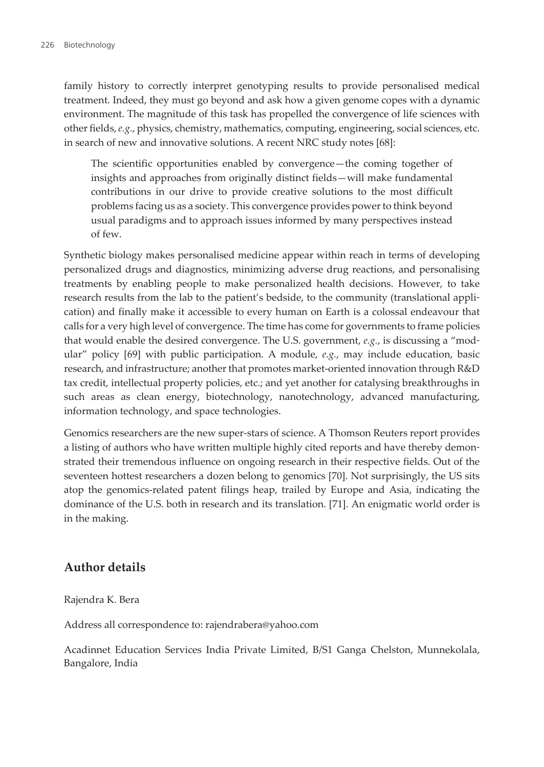<span id="page-31-0"></span>family history to correctly interpret genotyping results to provide personalised medical treatment. Indeed, they must go beyond and ask how a given genome copes with a dynamic environment. The magnitude of this task has propelled the convergence of life sciences with other fields, *e.g.*, physics, chemistry, mathematics, computing, engineering, social sciences, etc. in search of new and innovative solutions. A recent NRC study notes [\[68](#page-37-0)]:

The scientific opportunities enabled by convergence—the coming together of insights and approaches from originally distinct fields—will make fundamental contributions in our drive to provide creative solutions to the most difficult problems facing us as a society. This convergence provides power to think beyond usual paradigms and to approach issues informed by many perspectives instead of few.

Synthetic biology makes personalised medicine appear within reach in terms of developing personalized drugs and diagnostics, minimizing adverse drug reactions, and personalising treatments by enabling people to make personalized health decisions. However, to take research results from the lab to the patient's bedside, to the community (translational application) and finally make it accessible to every human on Earth is a colossal endeavour that calls for a very high level of convergence. The time has come for governments to frame policies that would enable the desired convergence. The U.S. government, *e.g.*, is discussing a "mod‐ ular" policy [[69\]](#page-37-0) with public participation. A module, *e.g.*, may include education, basic research, and infrastructure; another that promotes market-oriented innovation through R&D tax credit, intellectual property policies, etc.; and yet another for catalysing breakthroughs in such areas as clean energy, biotechnology, nanotechnology, advanced manufacturing, information technology, and space technologies.

Genomics researchers are the new super-stars of science. A Thomson Reuters report provides a listing of authors who have written multiple highly cited reports and have thereby demonstrated their tremendous influence on ongoing research in their respective fields. Out of the seventeen hottest researchers a dozen belong to genomics [\[70](#page-37-0)]. Not surprisingly, the US sits atop the genomics-related patent filings heap, trailed by Europe and Asia, indicating the dominance of the U.S. both in research and its translation. [[71\]](#page-37-0). An enigmatic world order is in the making.

# **Author details**

Rajendra K. Bera

Address all correspondence to: rajendrabera@yahoo.com

Acadinnet Education Services India Private Limited, B/S1 Ganga Chelston, Munnekolala, Bangalore, India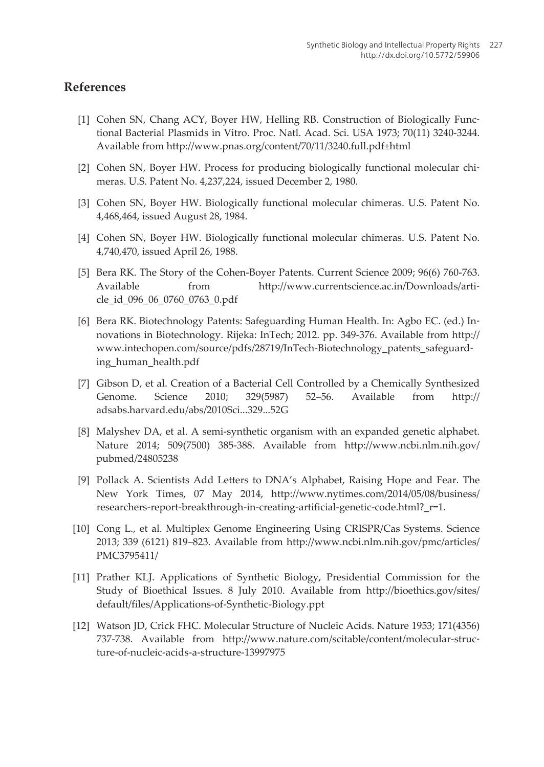### <span id="page-32-0"></span>**References**

- [1] Cohen SN, Chang ACY, Boyer HW, Helling RB. Construction of Biologically Functional Bacterial Plasmids in Vitro. Proc. Natl. Acad. Sci. USA 1973; 70(11) 3240-3244. Available from http://www.pnas.org/content/70/11/3240.full.pdf±html
- [2] Cohen SN, Boyer HW. Process for producing biologically functional molecular chimeras. U.S. Patent No. 4,237,224, issued December 2, 1980.
- [3] Cohen SN, Boyer HW. Biologically functional molecular chimeras. U.S. Patent No. 4,468,464, issued August 28, 1984.
- [4] Cohen SN, Boyer HW. Biologically functional molecular chimeras. U.S. Patent No. 4,740,470, issued April 26, 1988.
- [5] Bera RK. The Story of the Cohen-Boyer Patents. Current Science 2009; 96(6) 760-763. Available from http://www.currentscience.ac.in/Downloads/article\_id\_096\_06\_0760\_0763\_0.pdf
- [6] Bera RK. Biotechnology Patents: Safeguarding Human Health. In: Agbo EC. (ed.) In‐ novations in Biotechnology. Rijeka: InTech; 2012. pp. 349-376. Available from http:// www.intechopen.com/source/pdfs/28719/InTech-Biotechnology\_patents\_safeguarding\_human\_health.pdf
- [7] Gibson D, et al. Creation of a Bacterial Cell Controlled by a Chemically Synthesized Genome. Science 2010; 329(5987) 52–56. Available from http:// adsabs.harvard.edu/abs/2010Sci...329...52G
- [8] Malyshev DA, et al. A semi-synthetic organism with an expanded genetic alphabet. Nature 2014; 509(7500) 385-388. Available from http://www.ncbi.nlm.nih.gov/ pubmed/24805238
- [9] Pollack A. Scientists Add Letters to DNA's Alphabet, Raising Hope and Fear. The New York Times, 07 May 2014, http://www.nytimes.com/2014/05/08/business/ researchers-report-breakthrough-in-creating-artificial-genetic-code.html?\_r=1.
- [10] Cong L., et al. Multiplex Genome Engineering Using CRISPR/Cas Systems. Science 2013; 339 (6121) 819–823. Available from http://www.ncbi.nlm.nih.gov/pmc/articles/ PMC3795411/
- [11] Prather KLJ. Applications of Synthetic Biology, Presidential Commission for the Study of Bioethical Issues. 8 July 2010. Available from http://bioethics.gov/sites/ default/files/Applications-of-Synthetic-Biology.ppt
- [12] Watson JD, Crick FHC. Molecular Structure of Nucleic Acids. Nature 1953; 171(4356) 737-738. Available from http://www.nature.com/scitable/content/molecular-struc‐ ture-of-nucleic-acids-a-structure-13997975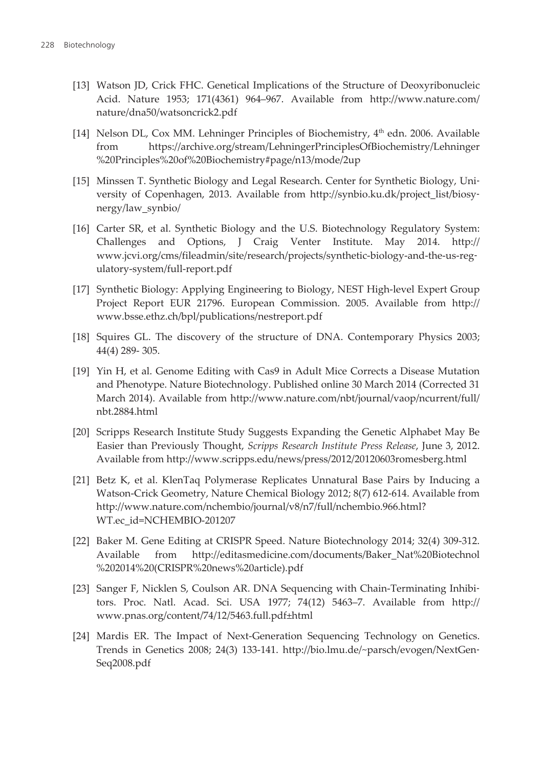- <span id="page-33-0"></span>[13] Watson JD, Crick FHC. Genetical Implications of the Structure of Deoxyribonucleic Acid. Nature 1953; 171(4361) 964–967. Available from http://www.nature.com/ nature/dna50/watsoncrick2.pdf
- [14] Nelson DL, Cox MM. Lehninger Principles of Biochemistry,  $4<sup>th</sup>$  edn. 2006. Available from https://archive.org/stream/LehningerPrinciplesOfBiochemistry/Lehninger %20Principles%20of%20Biochemistry#page/n13/mode/2up
- [15] Minssen T. Synthetic Biology and Legal Research. Center for Synthetic Biology, Uni‐ versity of Copenhagen, 2013. Available from http://synbio.ku.dk/project\_list/biosy‐ nergy/law\_synbio/
- [16] Carter SR, et al. Synthetic Biology and the U.S. Biotechnology Regulatory System: Challenges and Options, J Craig Venter Institute. May 2014. http:// www.jcvi.org/cms/fileadmin/site/research/projects/synthetic-biology-and-the-us-reg‐ ulatory-system/full-report.pdf
- [17] Synthetic Biology: Applying Engineering to Biology, NEST High-level Expert Group Project Report EUR 21796. European Commission. 2005. Available from http:// www.bsse.ethz.ch/bpl/publications/nestreport.pdf
- [18] Squires GL. The discovery of the structure of DNA. Contemporary Physics 2003; 44(4) 289- 305.
- [19] Yin H, et al. Genome Editing with Cas9 in Adult Mice Corrects a Disease Mutation and Phenotype. Nature Biotechnology. Published online 30 March 2014 (Corrected 31 March 2014). Available from http://www.nature.com/nbt/journal/vaop/ncurrent/full/ nbt.2884.html
- [20] Scripps Research Institute Study Suggests Expanding the Genetic Alphabet May Be Easier than Previously Thought, *Scripps Research Institute Press Release*, June 3, 2012. Available from http://www.scripps.edu/news/press/2012/20120603romesberg.html
- [21] Betz K, et al. KlenTaq Polymerase Replicates Unnatural Base Pairs by Inducing a Watson-Crick Geometry, Nature Chemical Biology 2012; 8(7) 612-614. Available from http://www.nature.com/nchembio/journal/v8/n7/full/nchembio.966.html? WT.ec\_id=NCHEMBIO-201207
- [22] Baker M. Gene Editing at CRISPR Speed. Nature Biotechnology 2014; 32(4) 309-312. Available from http://editasmedicine.com/documents/Baker\_Nat%20Biotechnol %202014%20(CRISPR%20news%20article).pdf
- [23] Sanger F, Nicklen S, Coulson AR. DNA Sequencing with Chain-Terminating Inhibitors. Proc. Natl. Acad. Sci. USA 1977; 74(12) 5463–7. Available from http:// www.pnas.org/content/74/12/5463.full.pdf±html
- [24] Mardis ER. The Impact of Next-Generation Sequencing Technology on Genetics. Trends in Genetics 2008; 24(3) 133-141. http://bio.lmu.de/~parsch/evogen/NextGen‐ Seq2008.pdf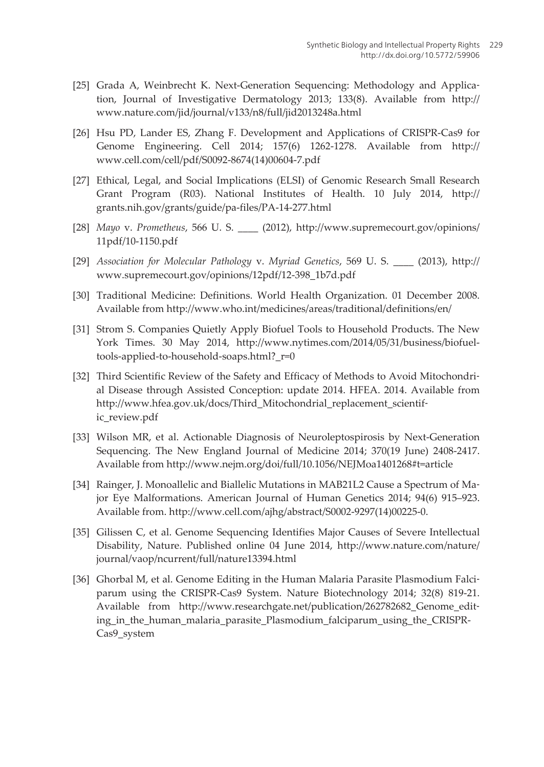- <span id="page-34-0"></span>[25] Grada A, Weinbrecht K. Next-Generation Sequencing: Methodology and Application, Journal of Investigative Dermatology 2013; 133(8). Available from http:// www.nature.com/jid/journal/v133/n8/full/jid2013248a.html
- [26] Hsu PD, Lander ES, Zhang F. Development and Applications of CRISPR-Cas9 for Genome Engineering. Cell 2014; 157(6) 1262-1278. Available from http:// www.cell.com/cell/pdf/S0092-8674(14)00604-7.pdf
- [27] Ethical, Legal, and Social Implications (ELSI) of Genomic Research Small Research Grant Program (R03). National Institutes of Health. 10 July 2014, http:// grants.nih.gov/grants/guide/pa-files/PA-14-277.html
- [28] *Mayo* v. *Prometheus*, 566 U. S. \_\_\_\_ (2012), http://www.supremecourt.gov/opinions/ 11pdf/10-1150.pdf
- [29] *Association for Molecular Pathology* v. *Myriad Genetics*, 569 U. S. \_\_\_\_ (2013), http:// www.supremecourt.gov/opinions/12pdf/12-398\_1b7d.pdf
- [30] Traditional Medicine: Definitions. World Health Organization. 01 December 2008. Available from http://www.who.int/medicines/areas/traditional/definitions/en/
- [31] Strom S. Companies Quietly Apply Biofuel Tools to Household Products. The New York Times. 30 May 2014, http://www.nytimes.com/2014/05/31/business/biofueltools-applied-to-household-soaps.html?\_r=0
- [32] Third Scientific Review of the Safety and Efficacy of Methods to Avoid Mitochondrial Disease through Assisted Conception: update 2014. HFEA. 2014. Available from http://www.hfea.gov.uk/docs/Third\_Mitochondrial\_replacement\_scientif‐ ic\_review.pdf
- [33] Wilson MR, et al. Actionable Diagnosis of Neuroleptospirosis by Next-Generation Sequencing. The New England Journal of Medicine 2014; 370(19 June) 2408-2417. Available from http://www.nejm.org/doi/full/10.1056/NEJMoa1401268#t=article
- [34] Rainger, J. Monoallelic and Biallelic Mutations in MAB21L2 Cause a Spectrum of Ma‐ jor Eye Malformations. American Journal of Human Genetics 2014; 94(6) 915–923. Available from. http://www.cell.com/ajhg/abstract/S0002-9297(14)00225-0.
- [35] Gilissen C, et al. Genome Sequencing Identifies Major Causes of Severe Intellectual Disability, Nature. Published online 04 June 2014, http://www.nature.com/nature/ journal/vaop/ncurrent/full/nature13394.html
- [36] Ghorbal M, et al. Genome Editing in the Human Malaria Parasite Plasmodium Falciparum using the CRISPR-Cas9 System. Nature Biotechnology 2014; 32(8) 819-21. Available from http://www.researchgate.net/publication/262782682\_Genome\_edit‐ ing\_in\_the\_human\_malaria\_parasite\_Plasmodium\_falciparum\_using\_the\_CRISPR-Cas9\_system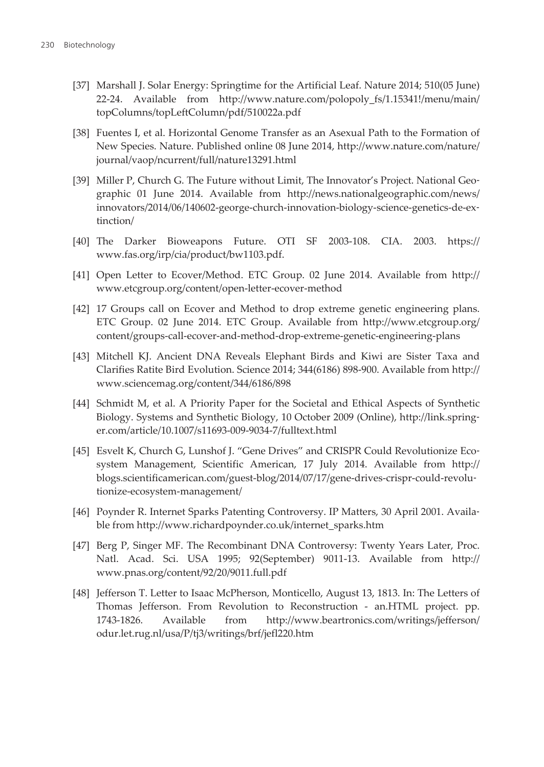- <span id="page-35-0"></span>[37] Marshall J. Solar Energy: Springtime for the Artificial Leaf. Nature 2014; 510(05 June) 22-24. Available from http://www.nature.com/polopoly\_fs/1.15341!/menu/main/ topColumns/topLeftColumn/pdf/510022a.pdf
- [38] Fuentes I, et al. Horizontal Genome Transfer as an Asexual Path to the Formation of New Species. Nature. Published online 08 June 2014, http://www.nature.com/nature/ journal/vaop/ncurrent/full/nature13291.html
- [39] Miller P, Church G. The Future without Limit, The Innovator's Project. National Geographic 01 June 2014. Available from http://news.nationalgeographic.com/news/ innovators/2014/06/140602-george-church-innovation-biology-science-genetics-de-ex‐ tinction/
- [40] The Darker Bioweapons Future. OTI SF 2003-108. CIA. 2003. https:// www.fas.org/irp/cia/product/bw1103.pdf.
- [41] Open Letter to Ecover/Method. ETC Group. 02 June 2014. Available from http:// www.etcgroup.org/content/open-letter-ecover-method
- [42] 17 Groups call on Ecover and Method to drop extreme genetic engineering plans. ETC Group. 02 June 2014. ETC Group. Available from http://www.etcgroup.org/ content/groups-call-ecover-and-method-drop-extreme-genetic-engineering-plans
- [43] Mitchell KJ. Ancient DNA Reveals Elephant Birds and Kiwi are Sister Taxa and Clarifies Ratite Bird Evolution. Science 2014; 344(6186) 898-900. Available from http:// www.sciencemag.org/content/344/6186/898
- [44] Schmidt M, et al. A Priority Paper for the Societal and Ethical Aspects of Synthetic Biology. Systems and Synthetic Biology, 10 October 2009 (Online), http://link.spring‐ er.com/article/10.1007/s11693-009-9034-7/fulltext.html
- [45] Esvelt K, Church G, Lunshof J. "Gene Drives" and CRISPR Could Revolutionize Ecosystem Management, Scientific American, 17 July 2014. Available from http:// blogs.scientificamerican.com/guest-blog/2014/07/17/gene-drives-crispr-could-revolu‐ tionize-ecosystem-management/
- [46] Poynder R. Internet Sparks Patenting Controversy. IP Matters, 30 April 2001. Availa‐ ble from http://www.richardpoynder.co.uk/internet\_sparks.htm
- [47] Berg P, Singer MF. The Recombinant DNA Controversy: Twenty Years Later, Proc. Natl. Acad. Sci. USA 1995; 92(September) 9011-13. Available from http:// www.pnas.org/content/92/20/9011.full.pdf
- [48] Jefferson T. Letter to Isaac McPherson, Monticello, August 13, 1813. In: The Letters of Thomas Jefferson. From Revolution to Reconstruction - an.HTML project. pp. 1743-1826. Available from http://www.beartronics.com/writings/jefferson/ odur.let.rug.nl/usa/P/tj3/writings/brf/jefl220.htm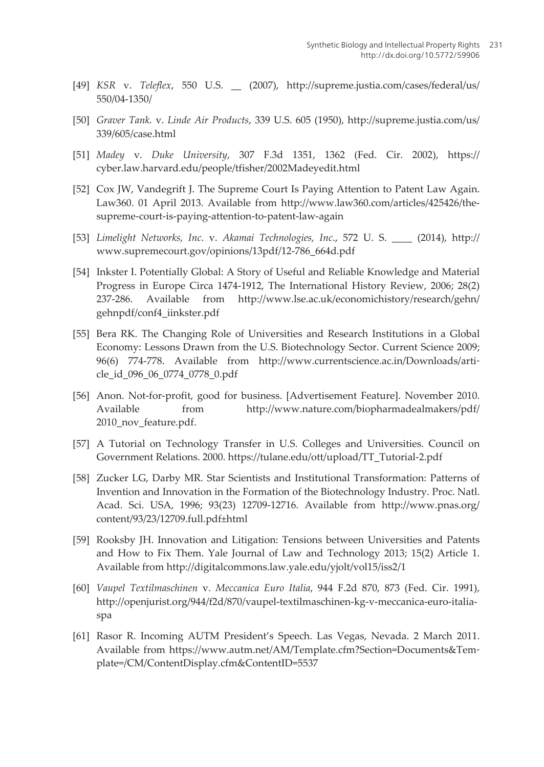- <span id="page-36-0"></span>[49] *KSR* v. *Teleflex*, 550 U.S. \_\_ (2007), http://supreme.justia.com/cases/federal/us/ 550/04-1350/
- [50] *Graver Tank.* v. *Linde Air Products*, 339 U.S. 605 (1950), http://supreme.justia.com/us/ 339/605/case.html
- [51] *Madey* v. *Duke University*, 307 F.3d 1351, 1362 (Fed. Cir. 2002), https:// cyber.law.harvard.edu/people/tfisher/2002Madeyedit.html
- [52] Cox JW, Vandegrift J. The Supreme Court Is Paying Attention to Patent Law Again. Law360. 01 April 2013. Available from http://www.law360.com/articles/425426/thesupreme-court-is-paying-attention-to-patent-law-again
- [53] *Limelight Networks, Inc*. v. *Akamai Technologies, Inc*., 572 U. S. \_\_\_\_ (2014), http:// www.supremecourt.gov/opinions/13pdf/12-786\_664d.pdf
- [54] Inkster I. Potentially Global: A Story of Useful and Reliable Knowledge and Material Progress in Europe Circa 1474-1912, The International History Review, 2006; 28(2) 237-286. Available from http://www.lse.ac.uk/economichistory/research/gehn/ gehnpdf/conf4\_iinkster.pdf
- [55] Bera RK. The Changing Role of Universities and Research Institutions in a Global Economy: Lessons Drawn from the U.S. Biotechnology Sector. Current Science 2009; 96(6) 774-778. Available from http://www.currentscience.ac.in/Downloads/arti‐ cle\_id\_096\_06\_0774\_0778\_0.pdf
- [56] Anon. Not-for-profit, good for business. [Advertisement Feature]. November 2010. Available from http://www.nature.com/biopharmadealmakers/pdf/ 2010\_nov\_feature.pdf.
- [57] A Tutorial on Technology Transfer in U.S. Colleges and Universities. Council on Government Relations. 2000. https://tulane.edu/ott/upload/TT\_Tutorial-2.pdf
- [58] Zucker LG, Darby MR. Star Scientists and Institutional Transformation: Patterns of Invention and Innovation in the Formation of the Biotechnology Industry. Proc. Natl. Acad. Sci. USA, 1996; 93(23) 12709-12716. Available from http://www.pnas.org/ content/93/23/12709.full.pdf±html
- [59] Rooksby JH. Innovation and Litigation: Tensions between Universities and Patents and How to Fix Them. Yale Journal of Law and Technology 2013; 15(2) Article 1. Available from http://digitalcommons.law.yale.edu/yjolt/vol15/iss2/1
- [60] *Vaupel Textilmaschinen* v. *Meccanica Euro Italia*, 944 F.2d 870, 873 (Fed. Cir. 1991), http://openjurist.org/944/f2d/870/vaupel-textilmaschinen-kg-v-meccanica-euro-italiaspa
- [61] Rasor R. Incoming AUTM President's Speech. Las Vegas, Nevada. 2 March 2011. Available from https://www.autm.net/AM/Template.cfm?Section=Documents&Tem‐ plate=/CM/ContentDisplay.cfm&ContentID=5537